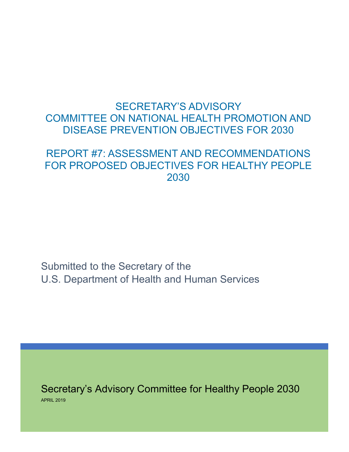# <span id="page-0-0"></span>SECRETARY'S ADVISORY COMMITTEE ON NATIONAL HEALTH PROMOTION AND DISEASE PREVENTION OBJECTIVES FOR 2030

# REPORT #7: ASSESSMENT AND RECOMMENDATIONS FOR PROPOSED OBJECTIVES FOR HEALTHY PEOPLE 2030

Submitted to the Secretary of the U.S. Department of Health and Human Services

Secretary's Advisory Committee for Healthy People 2030 APRIL 2019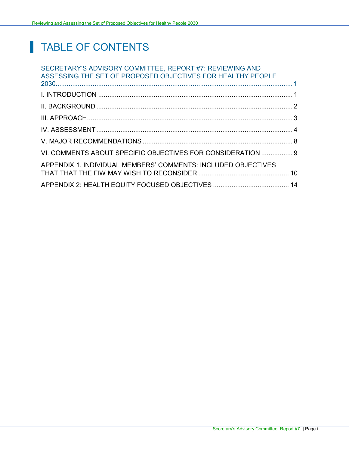# TABLE OF CONTENTS

| SECRETARY'S ADVISORY COMMITTEE, REPORT #7: REVIEWING AND<br>ASSESSING THE SET OF PROPOSED OBJECTIVES FOR HEALTHY PEOPLE |  |
|-------------------------------------------------------------------------------------------------------------------------|--|
|                                                                                                                         |  |
|                                                                                                                         |  |
|                                                                                                                         |  |
|                                                                                                                         |  |
|                                                                                                                         |  |
| VI. COMMENTS ABOUT SPECIFIC OBJECTIVES FOR CONSIDERATION  9                                                             |  |
| APPENDIX 1. INDIVIDUAL MEMBERS' COMMENTS: INCLUDED OBJECTIVES                                                           |  |
|                                                                                                                         |  |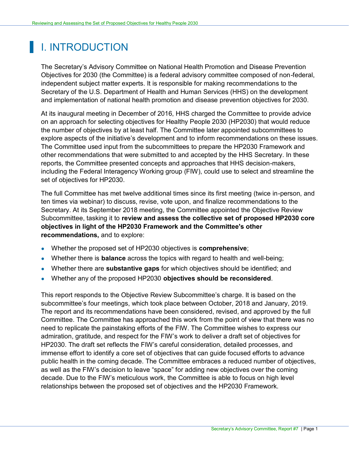# <span id="page-2-0"></span>I. INTRODUCTION

The Secretary's Advisory Committee on National Health Promotion and Disease Prevention Objectives for 2030 (the Committee) is a federal advisory committee composed of non-federal, independent subject matter experts. It is responsible for making recommendations to the Secretary of the U.S. Department of Health and Human Services (HHS) on the development and implementation of national health promotion and disease prevention objectives for 2030.

At its inaugural meeting in December of 2016, HHS charged the Committee to provide advice on an approach for selecting objectives for Healthy People 2030 (HP2030) that would reduce the number of objectives by at least half. The Committee later appointed subcommittees to explore aspects of the initiative's development and to inform recommendations on these issues. The Committee used input from the subcommittees to prepare the HP2030 Framework and other recommendations that were submitted to and accepted by the HHS Secretary. In these reports, the Committee presented concepts and approaches that HHS decision-makers, including the Federal Interagency Working group (FIW), could use to select and streamline the set of objectives for HP2030.

The full Committee has met twelve additional times since its first meeting (twice in-person, and ten times via webinar) to discuss, revise, vote upon, and finalize recommendations to the Secretary. At its September 2018 meeting, the Committee appointed the Objective Review Subcommittee, tasking it to **review and assess the collective set of proposed HP2030 core objectives in light of the HP2030 Framework and the Committee's other recommendations,** and to explore:

- Whether the proposed set of HP2030 objectives is **comprehensive**;
- Whether there is **balance** across the topics with regard to health and well-being;
- Whether there are **substantive gaps** for which objectives should be identified; and
- Whether any of the proposed HP2030 **objectives should be reconsidered**.

This report responds to the Objective Review Subcommittee's charge. It is based on the subcommittee's four meetings, which took place between October, 2018 and January, 2019. The report and its recommendations have been considered, revised, and approved by the full Committee. The Committee has approached this work from the point of view that there was no need to replicate the painstaking efforts of the FIW. The Committee wishes to express our admiration, gratitude, and respect for the FIW's work to deliver a draft set of objectives for HP2030. The draft set reflects the FIW's careful consideration, detailed processes, and immense effort to identify a core set of objectives that can guide focused efforts to advance public health in the coming decade. The Committee embraces a reduced number of objectives, as well as the FIW's decision to leave "space" for adding new objectives over the coming decade. Due to the FIW's meticulous work, the Committee is able to focus on high level relationships between the proposed set of objectives and the HP2030 Framework.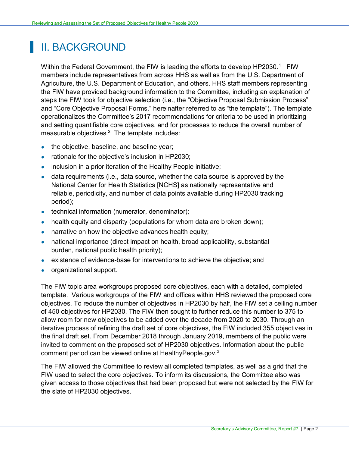# <span id="page-3-0"></span>II. BACKGROUND

Within the Federal Government, the FIW is leading the efforts to develop HP2030.<sup>1</sup> FIW members include representatives from across HHS as well as from the U.S. Department of Agriculture, the U.S. Department of Education, and others. HHS staff members representing the FIW have provided background information to the Committee, including an explanation of steps the FIW took for objective selection (i.e., the "Objective Proposal Submission Process" and "Core Objective Proposal Forms," hereinafter referred to as "the template"). The template operationalizes the Committee's 2017 recommendations for criteria to be used in prioritizing and setting quantifiable core objectives, and for processes to reduce the overall number of measurable objectives. $2$  The template includes:

- the objective, baseline, and baseline year;
- rationale for the objective's inclusion in HP2030;
- inclusion in a prior iteration of the Healthy People initiative;
- $\bullet$  data requirements (i.e., data source, whether the data source is approved by the National Center for Health Statistics [NCHS] as nationally representative and reliable, periodicity, and number of data points available during HP2030 tracking period);
- technical information (numerator, denominator);
- health equity and disparity (populations for whom data are broken down);
- narrative on how the objective advances health equity;
- national importance (direct impact on health, broad applicability, substantial burden, national public health priority);
- existence of evidence-base for interventions to achieve the objective; and
- organizational support.

The FIW topic area workgroups proposed core objectives, each with a detailed, completed template. Various workgroups of the FIW and offices within HHS reviewed the proposed core objectives. To reduce the number of objectives in HP2030 by half, the FIW set a ceiling number of 450 objectives for HP2030. The FIW then sought to further reduce this number to 375 to allow room for new objectives to be added over the decade from 2020 to 2030. Through an iterative process of refining the draft set of core objectives, the FIW included 355 objectives in the final draft set. From December 2018 through January 2019, members of the public were invited to comment on the proposed set of HP2030 objectives. Information about the public comment period can be viewed online at HealthyPeople.gov.<sup>3</sup>

The FIW allowed the Committee to review all completed templates, as well as a grid that the FIW used to select the core objectives. To inform its discussions, the Committee also was given access to those objectives that had been proposed but were not selected by the FIW for the slate of HP2030 objectives.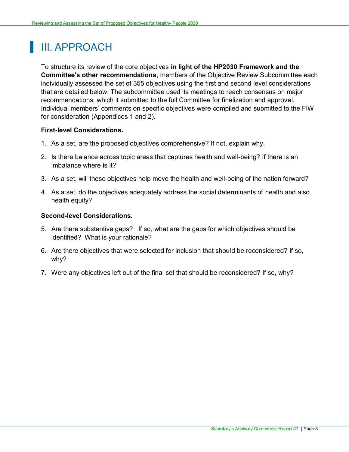# <span id="page-4-0"></span>III. APPROACH

To structure its review of the core objectives **in light of the HP2030 Framework and the Committee's other recommendations**, members of the Objective Review Subcommittee each individually assessed the set of 355 objectives using the first and second level considerations that are detailed below. The subcommittee used its meetings to reach consensus on major recommendations, which it submitted to the full Committee for finalization and approval. Individual members' comments on specific objectives were compiled and submitted to the FIW for consideration (Appendices 1 and 2).

#### **First-level Considerations.**

- 1. As a set, are the proposed objectives comprehensive? If not, explain why.
- 2. Is there balance across topic areas that captures health and well-being? If there is an imbalance where is it?
- 3. As a set, will these objectives help move the health and well-being of the nation forward?
- 4. As a set, do the objectives adequately address the social determinants of health and also health equity?

#### **Second-level Considerations.**

- 5. Are there substantive gaps? If so, what are the gaps for which objectives should be identified? What is your rationale?
- 6. Are there objectives that were selected for inclusion that should be reconsidered? If so, why?
- 7. Were any objectives left out of the final set that should be reconsidered? If so, why?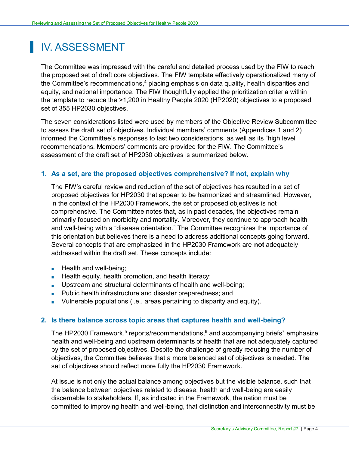# <span id="page-5-0"></span>IV. ASSESSMENT

The Committee was impressed with the careful and detailed process used by the FIW to reach the proposed set of draft core objectives. The FIW template effectively operationalized many of the Committee's recommendations, <sup>4</sup> placing emphasis on data quality, health disparities and equity, and national importance. The FIW thoughtfully applied the prioritization criteria within the template to reduce the >1,200 in Healthy People 2020 (HP2020) objectives to a proposed set of 355 HP2030 objectives.

The seven considerations listed were used by members of the Objective Review Subcommittee to assess the draft set of objectives. Individual members' comments (Appendices 1 and 2) informed the Committee's responses to last two considerations, as well as its "high level" recommendations. Members' comments are provided for the FIW. The Committee's assessment of the draft set of HP2030 objectives is summarized below.

#### **1. As a set, are the proposed objectives comprehensive? If not, explain why**

The FIW's careful review and reduction of the set of objectives has resulted in a set of proposed objectives for HP2030 that appear to be harmonized and streamlined. However, in the context of the HP2030 Framework, the set of proposed objectives is not comprehensive. The Committee notes that, as in past decades, the objectives remain primarily focused on morbidity and mortality. Moreover, they continue to approach health and well-being with a "disease orientation." The Committee recognizes the importance of this orientation but believes there is a need to address additional concepts going forward. Several concepts that are emphasized in the HP2030 Framework are **not** adequately addressed within the draft set. These concepts include:

- Health and well-being;
- **Health equity, health promotion, and health literacy;**
- **Upstream and structural determinants of health and well-being;**
- Public health infrastructure and disaster preparedness; and
- Vulnerable populations (i.e., areas pertaining to disparity and equity).

#### **2. Is there balance across topic areas that captures health and well-being?**

The HP2030 Framework,<sup>5</sup> reports/recommendations,<sup>6</sup> and accompanying briefs<sup>7</sup> emphasize health and well-being and upstream determinants of health that are not adequately captured by the set of proposed objectives. Despite the challenge of greatly reducing the number of objectives, the Committee believes that a more balanced set of objectives is needed. The set of objectives should reflect more fully the HP2030 Framework.

At issue is not only the actual balance among objectives but the visible balance, such that the balance between objectives related to disease, health and well-being are easily discernable to stakeholders. If, as indicated in the Framework, the nation must be committed to improving health and well-being, that distinction and interconnectivity must be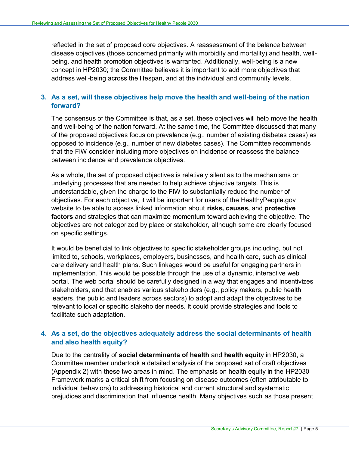reflected in the set of proposed core objectives. A reassessment of the balance between disease objectives (those concerned primarily with morbidity and mortality) and health, wellbeing, and health promotion objectives is warranted. Additionally, well-being is a new concept in HP2030; the Committee believes it is important to add more objectives that address well-being across the lifespan, and at the individual and community levels.

### **3. As a set, will these objectives help move the health and well-being of the nation forward?**

The consensus of the Committee is that, as a set, these objectives will help move the health and well-being of the nation forward. At the same time, the Committee discussed that many of the proposed objectives focus on prevalence (e.g., number of existing diabetes cases) as opposed to incidence (e.g., number of new diabetes cases). The Committee recommends that the FIW consider including more objectives on incidence or reassess the balance between incidence and prevalence objectives.

As a whole, the set of proposed objectives is relatively silent as to the mechanisms or underlying processes that are needed to help achieve objective targets. This is understandable, given the charge to the FIW to substantially reduce the number of objectives. For each objective, it will be important for users of the HealthyPeople.gov website to be able to access linked information about **risks, causes,** and **protective factors** and strategies that can maximize momentum toward achieving the objective. The objectives are not categorized by place or stakeholder, although some are clearly focused on specific settings.

It would be beneficial to link objectives to specific stakeholder groups including, but not limited to, schools, workplaces, employers, businesses, and health care, such as clinical care delivery and health plans. Such linkages would be useful for engaging partners in implementation. This would be possible through the use of a dynamic, interactive web portal. The web portal should be carefully designed in a way that engages and incentivizes stakeholders, and that enables various stakeholders (e.g., policy makers, public health leaders, the public and leaders across sectors) to adopt and adapt the objectives to be relevant to local or specific stakeholder needs. It could provide strategies and tools to facilitate such adaptation.

### **4. As a set, do the objectives adequately address the social determinants of health and also health equity?**

Due to the centrality of **social determinants of health** and **health equit**y in HP2030, a Committee member undertook a detailed analysis of the proposed set of draft objectives (Appendix 2) with these two areas in mind. The emphasis on health equity in the HP2030 Framework marks a critical shift from focusing on disease outcomes (often attributable to individual behaviors) to addressing historical and current structural and systematic prejudices and discrimination that influence health. Many objectives such as those present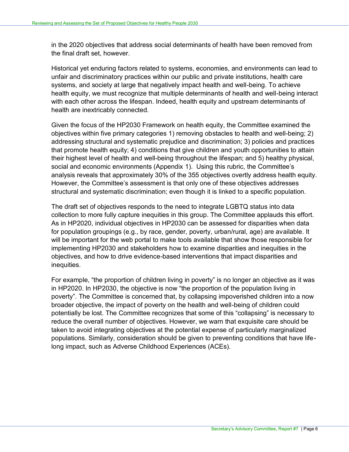in the 2020 objectives that address social determinants of health have been removed from the final draft set, however.

Historical yet enduring factors related to systems, economies, and environments can lead to unfair and discriminatory practices within our public and private institutions, health care systems, and society at large that negatively impact health and well-being. To achieve health equity, we must recognize that multiple determinants of health and well-being interact with each other across the lifespan. Indeed, health equity and upstream determinants of health are inextricably connected.

Given the focus of the HP2030 Framework on health equity, the Committee examined the objectives within five primary categories 1) removing obstacles to health and well-being; 2) addressing structural and systematic prejudice and discrimination; 3) policies and practices that promote health equity; 4) conditions that give children and youth opportunities to attain their highest level of health and well-being throughout the lifespan; and 5) healthy physical, social and economic environments (Appendix 1). Using this rubric, the Committee's analysis reveals that approximately 30% of the 355 objectives overtly address health equity. However, the Committee's assessment is that only one of these objectives addresses structural and systematic discrimination; even though it is linked to a specific population.

The draft set of objectives responds to the need to integrate LGBTQ status into data collection to more fully capture inequities in this group. The Committee applauds this effort. As in HP2020, individual objectives in HP2030 can be assessed for disparities when data for population groupings (e.g., by race, gender, poverty, urban/rural, age) are available. It will be important for the web portal to make tools available that show those responsible for implementing HP2030 and stakeholders how to examine disparities and inequities in the objectives, and how to drive evidence-based interventions that impact disparities and inequities.

For example, "the proportion of children living in poverty" is no longer an objective as it was in HP2020. In HP2030, the objective is now "the proportion of the population living in poverty". The Committee is concerned that, by collapsing impoverished children into a now broader objective, the impact of poverty on the health and well-being of children could potentially be lost. The Committee recognizes that some of this "collapsing" is necessary to reduce the overall number of objectives. However, we warn that exquisite care should be taken to avoid integrating objectives at the potential expense of particularly marginalized populations. Similarly, consideration should be given to preventing conditions that have lifelong impact, such as Adverse Childhood Experiences (ACEs).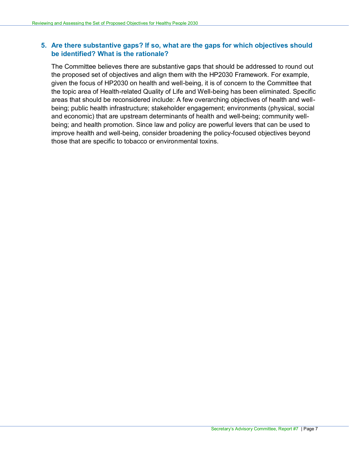### **5. Are there substantive gaps? If so, what are the gaps for which objectives should be identified? What is the rationale?**

The Committee believes there are substantive gaps that should be addressed to round out the proposed set of objectives and align them with the HP2030 Framework. For example, given the focus of HP2030 on health and well-being, it is of concern to the Committee that the topic area of Health-related Quality of Life and Well-being has been eliminated. Specific areas that should be reconsidered include: A few overarching objectives of health and wellbeing; public health infrastructure; stakeholder engagement; environments (physical, social and economic) that are upstream determinants of health and well-being; community wellbeing; and health promotion. Since law and policy are powerful levers that can be used to improve health and well-being, consider broadening the policy-focused objectives beyond those that are specific to tobacco or environmental toxins.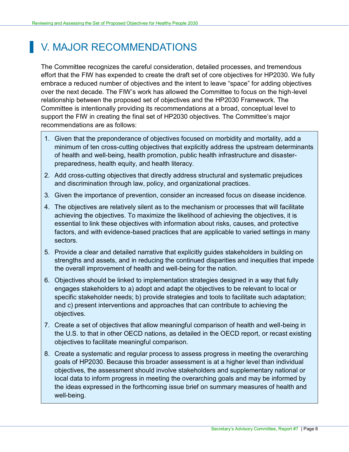# <span id="page-9-0"></span>**V. MAJOR RECOMMENDATIONS**

The Committee recognizes the careful consideration, detailed processes, and tremendous effort that the FIW has expended to create the draft set of core objectives for HP2030. We fully embrace a reduced number of objectives and the intent to leave "space" for adding objectives over the next decade. The FIW's work has allowed the Committee to focus on the high-level relationship between the proposed set of objectives and the HP2030 Framework. The Committee is intentionally providing its recommendations at a broad, conceptual level to support the FIW in creating the final set of HP2030 objectives. The Committee's major recommendations are as follows:

- 1. Given that the preponderance of objectives focused on morbidity and mortality, add a minimum of ten cross-cutting objectives that explicitly address the upstream determinants of health and well-being, health promotion, public health infrastructure and disasterpreparedness, health equity, and health literacy.
- 2. Add cross-cutting objectives that directly address structural and systematic prejudices and discrimination through law, policy, and organizational practices.
- 3. Given the importance of prevention, consider an increased focus on disease incidence.
- 4. The objectives are relatively silent as to the mechanism or processes that will facilitate achieving the objectives. To maximize the likelihood of achieving the objectives, it is essential to link these objectives with information about risks, causes, and protective factors, and with evidence-based practices that are applicable to varied settings in many sectors.
- 5. Provide a clear and detailed narrative that explicitly guides stakeholders in building on strengths and assets, and in reducing the continued disparities and inequities that impede the overall improvement of health and well-being for the nation.
- 6. Objectives should be linked to implementation strategies designed in a way that fully engages stakeholders to a) adopt and adapt the objectives to be relevant to local or specific stakeholder needs; b) provide strategies and tools to facilitate such adaptation; and c) present interventions and approaches that can contribute to achieving the objectives.
- 7. Create a set of objectives that allow meaningful comparison of health and well-being in the U.S. to that in other OECD nations, as detailed in the OECD report, or recast existing objectives to facilitate meaningful comparison.
- 8. Create a systematic and regular process to assess progress in meeting the overarching goals of HP2030. Because this broader assessment is at a higher level than individual objectives, the assessment should involve stakeholders and supplementary national or local data to inform progress in meeting the overarching goals and may be informed by the ideas expressed in the forthcoming issue brief on summary measures of health and well-being.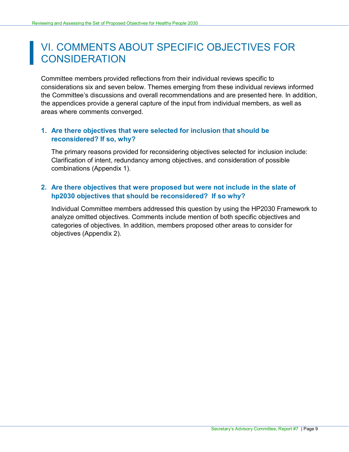# <span id="page-10-0"></span>VI. COMMENTS ABOUT SPECIFIC OBJECTIVES FOR **CONSIDERATION**

Committee members provided reflections from their individual reviews specific to considerations six and seven below. Themes emerging from these individual reviews informed the Committee's discussions and overall recommendations and are presented here. In addition, the appendices provide a general capture of the input from individual members, as well as areas where comments converged.

### **1. Are there objectives that were selected for inclusion that should be reconsidered? If so, why?**

The primary reasons provided for reconsidering objectives selected for inclusion include: Clarification of intent, redundancy among objectives, and consideration of possible combinations (Appendix 1).

### **2. Are there objectives that were proposed but were not include in the slate of hp2030 objectives that should be reconsidered? If so why?**

Individual Committee members addressed this question by using the HP2030 Framework to analyze omitted objectives. Comments include mention of both specific objectives and categories of objectives. In addition, members proposed other areas to consider for objectives (Appendix 2).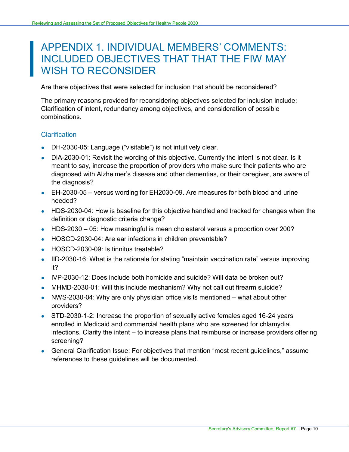# <span id="page-11-0"></span>APPENDIX 1. INDIVIDUAL MEMBERS' COMMENTS: INCLUDED OBJECTIVES THAT THAT THE FIW MAY WISH TO RECONSIDER

Are there objectives that were selected for inclusion that should be reconsidered?

The primary reasons provided for reconsidering objectives selected for inclusion include: Clarification of intent, redundancy among objectives, and consideration of possible combinations.

## **Clarification**

- DH-2030-05: Language ("visitable") is not intuitively clear.
- DIA-2030-01: Revisit the wording of this objective. Currently the intent is not clear. Is it meant to say, increase the proportion of providers who make sure their patients who are diagnosed with Alzheimer's disease and other dementias, or their caregiver, are aware of the diagnosis?
- $\bullet$  EH-2030-05 versus wording for EH2030-09. Are measures for both blood and urine needed?
- HDS-2030-04: How is baseline for this objective handled and tracked for changes when the definition or diagnostic criteria change?
- HDS-2030 05: How meaningful is mean cholesterol versus a proportion over 200?
- HOSCD-2030-04: Are ear infections in children preventable?
- HOSCD-2030-09: Is tinnitus treatable?
- IID-2030-16: What is the rationale for stating "maintain vaccination rate" versus improving it?
- $\bullet$  IVP-2030-12: Does include both homicide and suicide? Will data be broken out?
- MHMD-2030-01: Will this include mechanism? Why not call out firearm suicide?
- NWS-2030-04: Why are only physician office visits mentioned what about other providers?
- STD-2030-1-2: Increase the proportion of sexually active females aged 16-24 years enrolled in Medicaid and commercial health plans who are screened for chlamydial infections. Clarify the intent – to increase plans that reimburse or increase providers offering screening?
- General Clarification Issue: For objectives that mention "most recent guidelines," assume references to these guidelines will be documented.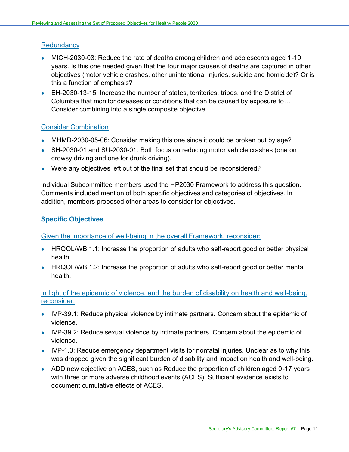#### **Redundancy**

- MICH-2030-03: Reduce the rate of deaths among children and adolescents aged 1-19 years. Is this one needed given that the four major causes of deaths are captured in other objectives (motor vehicle crashes, other unintentional injuries, suicide and homicide)? Or is this a function of emphasis?
- EH-2030-13-15: Increase the number of states, territories, tribes, and the District of Columbia that monitor diseases or conditions that can be caused by exposure to… Consider combining into a single composite objective.

#### Consider Combination

- MHMD-2030-05-06: Consider making this one since it could be broken out by age?
- SH-2030-01 and SU-2030-01: Both focus on reducing motor vehicle crashes (one on drowsy driving and one for drunk driving).
- Were any objectives left out of the final set that should be reconsidered?

Individual Subcommittee members used the HP2030 Framework to address this question. Comments included mention of both specific objectives and categories of objectives. In addition, members proposed other areas to consider for objectives.

## **Specific Objectives**

Given the importance of well-being in the overall Framework, reconsider:

- HRQOL/WB 1.1: Increase the proportion of adults who self-report good or better physical health.
- HRQOL/WB 1.2: Increase the proportion of adults who self-report good or better mental health.

#### In light of the epidemic of violence, and the burden of disability on health and well-being, reconsider:

- IVP-39.1: Reduce physical violence by intimate partners. Concern about the epidemic of violence.
- IVP-39.2: Reduce sexual violence by intimate partners. Concern about the epidemic of violence.
- IVP-1.3: Reduce emergency department visits for nonfatal injuries. Unclear as to why this was dropped given the significant burden of disability and impact on health and well-being.
- ADD new objective on ACES, such as Reduce the proportion of children aged 0-17 years with three or more adverse childhood events (ACES). Sufficient evidence exists to document cumulative effects of ACES.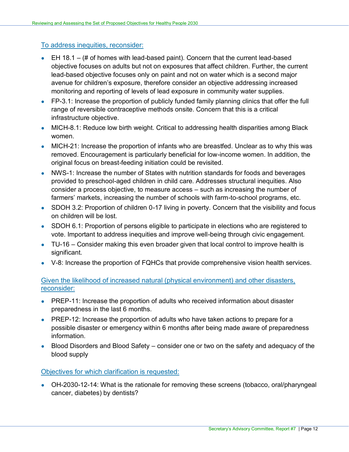#### To address inequities, reconsider:

- $\bullet$  EH 18.1 (# of homes with lead-based paint). Concern that the current lead-based objective focuses on adults but not on exposures that affect children. Further, the current lead-based objective focuses only on paint and not on water which is a second major avenue for children's exposure, therefore consider an objective addressing increased monitoring and reporting of levels of lead exposure in community water supplies.
- FP-3.1: Increase the proportion of publicly funded family planning clinics that offer the full range of reversible contraceptive methods onsite. Concern that this is a critical infrastructure objective.
- MICH-8.1: Reduce low birth weight. Critical to addressing health disparities among Black women.
- MICH-21: Increase the proportion of infants who are breastfed. Unclear as to why this was removed. Encouragement is particularly beneficial for low-income women. In addition, the original focus on breast-feeding initiation could be revisited.
- NWS-1: Increase the number of States with nutrition standards for foods and beverages provided to preschool-aged children in child care. Addresses structural inequities. Also consider a process objective, to measure access – such as increasing the number of farmers' markets, increasing the number of schools with farm-to-school programs, etc.
- SDOH 3.2: Proportion of children 0-17 living in poverty. Concern that the visibility and focus on children will be lost.
- SDOH 6.1: Proportion of persons eligible to participate in elections who are registered to vote. Important to address inequities and improve well-being through civic engagement.
- TU-16 Consider making this even broader given that local control to improve health is significant.
- V-8: Increase the proportion of FQHCs that provide comprehensive vision health services.

#### Given the likelihood of increased natural (physical environment) and other disasters, reconsider:

- PREP-11: Increase the proportion of adults who received information about disaster preparedness in the last 6 months.
- PREP-12: Increase the proportion of adults who have taken actions to prepare for a possible disaster or emergency within 6 months after being made aware of preparedness information.
- Blood Disorders and Blood Safety consider one or two on the safety and adequacy of the blood supply

#### Objectives for which clarification is requested:

• OH-2030-12-14: What is the rationale for removing these screens (tobacco, oral/pharyngeal cancer, diabetes) by dentists?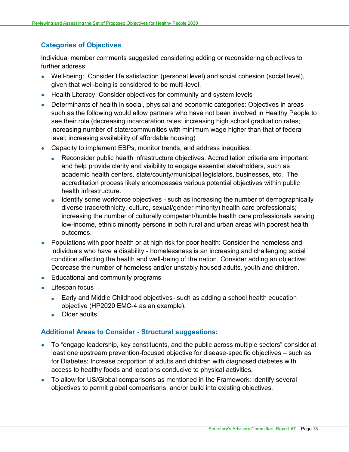### **Categories of Objectives**

Individual member comments suggested considering adding or reconsidering objectives to further address:

- Well-being: Consider life satisfaction (personal level) and social cohesion (social level), given that well-being is considered to be multi-level.
- Health Literacy: Consider objectives for community and system levels
- Determinants of health in social, physical and economic categories: Objectives in areas such as the following would allow partners who have not been involved in Healthy People to see their role (decreasing incarceration rates; increasing high school graduation rates; increasing number of state/communities with minimum wage higher than that of federal level; increasing availability of affordable housing)
- Capacity to implement EBPs, monitor trends, and address inequities:
	- Reconsider public health infrastructure objectives. Accreditation criteria are important and help provide clarity and visibility to engage essential stakeholders, such as academic health centers, state/county/municipal legislators, businesses, etc. The accreditation process likely encompasses various potential objectives within public health infrastructure.
	- Identify some workforce objectives such as increasing the number of demographically diverse (race/ethnicity, culture, sexual/gender minority) health care professionals; increasing the number of culturally competent/humble health care professionals serving low-income, ethnic minority persons in both rural and urban areas with poorest health outcomes.
- Populations with poor health or at high risk for poor health: Consider the homeless and individuals who have a disability - homelessness is an increasing and challenging social condition affecting the health and well-being of the nation. Consider adding an objective: Decrease the number of homeless and/or unstably housed adults, youth and children.
- Educational and community programs
- Lifespan focus
	- Early and Middle Childhood objectives- such as adding a school health education objective (HP2020 EMC-4 as an example).
	- Older adults

## **Additional Areas to Consider - Structural suggestions:**

- To "engage leadership, key constituents, and the public across multiple sectors" consider at least one upstream prevention-focused objective for disease-specific objectives – such as for Diabetes: Increase proportion of adults and children with diagnosed diabetes with access to healthy foods and locations conducive to physical activities.
- To allow for US/Global comparisons as mentioned in the Framework: Identify several objectives to permit global comparisons, and/or build into existing objectives.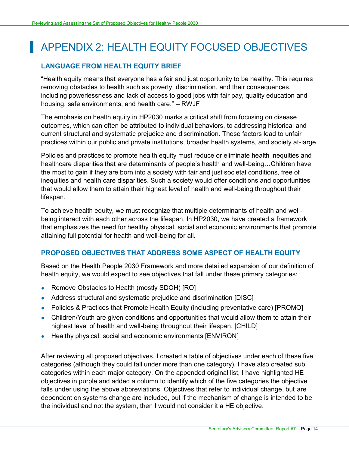# <span id="page-15-0"></span>APPENDIX 2: HEALTH EQUITY FOCUSED OBJECTIVES

### **LANGUAGE FROM HEALTH EQUITY BRIEF**

"Health equity means that everyone has a fair and just opportunity to be healthy. This requires removing obstacles to health such as poverty, discrimination, and their consequences, including powerlessness and lack of access to good jobs with fair pay, quality education and housing, safe environments, and health care." – RWJF

The emphasis on health equity in HP2030 marks a critical shift from focusing on disease outcomes, which can often be attributed to individual behaviors, to addressing historical and current structural and systematic prejudice and discrimination. These factors lead to unfair practices within our public and private institutions, broader health systems, and society at-large.

Policies and practices to promote health equity must reduce or eliminate health inequities and healthcare disparities that are determinants of people's health and well-being…Children have the most to gain if they are born into a society with fair and just societal conditions, free of inequities and health care disparities. Such a society would offer conditions and opportunities that would allow them to attain their highest level of health and well-being throughout their lifespan.

To achieve health equity, we must recognize that multiple determinants of health and wellbeing interact with each other across the lifespan. In HP2030, we have created a framework that emphasizes the need for healthy physical, social and economic environments that promote attaining full potential for health and well-being for all.

#### **PROPOSED OBJECTIVES THAT ADDRESS SOME ASPECT OF HEALTH EQUITY**

Based on the Health People 2030 Framework and more detailed expansion of our definition of health equity, we would expect to see objectives that fall under these primary categories:

- Remove Obstacles to Health (mostly SDOH) [RO]
- Address structural and systematic prejudice and discrimination [DISC]
- Policies & Practices that Promote Health Equity (including preventative care) [PROMO]
- Children/Youth are given conditions and opportunities that would allow them to attain their highest level of health and well-being throughout their lifespan. [CHILD]
- Healthy physical, social and economic environments [ENVIRON]

After reviewing all proposed objectives, I created a table of objectives under each of these five categories (although they could fall under more than one category). I have also created sub categories within each major category. On the appended original list, I have highlighted HE objectives in purple and added a column to identify which of the five categories the objective falls under using the above abbreviations. Objectives that refer to individual change, but are dependent on systems change are included, but if the mechanism of change is intended to be the individual and not the system, then I would not consider it a HE objective.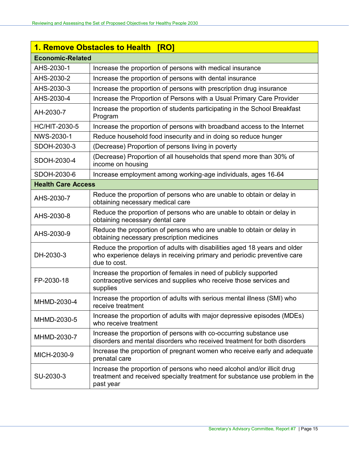|                           | 1. Remove Obstacles to Health<br><b>[RO]</b>                                                                                                                         |  |  |
|---------------------------|----------------------------------------------------------------------------------------------------------------------------------------------------------------------|--|--|
| <b>Economic-Related</b>   |                                                                                                                                                                      |  |  |
| AHS-2030-1                | Increase the proportion of persons with medical insurance                                                                                                            |  |  |
| AHS-2030-2                | Increase the proportion of persons with dental insurance                                                                                                             |  |  |
| AHS-2030-3                | Increase the proportion of persons with prescription drug insurance                                                                                                  |  |  |
| AHS-2030-4                | Increase the Proportion of Persons with a Usual Primary Care Provider                                                                                                |  |  |
| AH-2030-7                 | Increase the proportion of students participating in the School Breakfast<br>Program                                                                                 |  |  |
| <b>HC/HIT-2030-5</b>      | Increase the proportion of persons with broadband access to the Internet                                                                                             |  |  |
| NWS-2030-1                | Reduce household food insecurity and in doing so reduce hunger                                                                                                       |  |  |
| SDOH-2030-3               | (Decrease) Proportion of persons living in poverty                                                                                                                   |  |  |
| SDOH-2030-4               | (Decrease) Proportion of all households that spend more than 30% of<br>income on housing                                                                             |  |  |
| SDOH-2030-6               | Increase employment among working-age individuals, ages 16-64                                                                                                        |  |  |
| <b>Health Care Access</b> |                                                                                                                                                                      |  |  |
| AHS-2030-7                | Reduce the proportion of persons who are unable to obtain or delay in<br>obtaining necessary medical care                                                            |  |  |
| AHS-2030-8                | Reduce the proportion of persons who are unable to obtain or delay in<br>obtaining necessary dental care                                                             |  |  |
| AHS-2030-9                | Reduce the proportion of persons who are unable to obtain or delay in<br>obtaining necessary prescription medicines                                                  |  |  |
| DH-2030-3                 | Reduce the proportion of adults with disabilities aged 18 years and older<br>who experience delays in receiving primary and periodic preventive care<br>due to cost. |  |  |
| FP-2030-18                | Increase the proportion of females in need of publicly supported<br>contraceptive services and supplies who receive those services and<br>supplies                   |  |  |
| MHMD-2030-4               | Increase the proportion of adults with serious mental illness (SMI) who<br>receive treatment                                                                         |  |  |
| MHMD-2030-5               | Increase the proportion of adults with major depressive episodes (MDEs)<br>who receive treatment                                                                     |  |  |
| MHMD-2030-7               | Increase the proportion of persons with co-occurring substance use<br>disorders and mental disorders who received treatment for both disorders                       |  |  |
| MICH-2030-9               | Increase the proportion of pregnant women who receive early and adequate<br>prenatal care                                                                            |  |  |
| SU-2030-3                 | Increase the proportion of persons who need alcohol and/or illicit drug<br>treatment and received specialty treatment for substance use problem in the<br>past year  |  |  |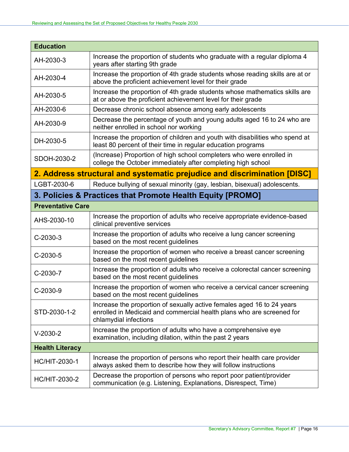| Increase the proportion of students who graduate with a regular diploma 4<br>years after starting 9th grade                                                              |
|--------------------------------------------------------------------------------------------------------------------------------------------------------------------------|
| Increase the proportion of 4th grade students whose reading skills are at or<br>above the proficient achievement level for their grade                                   |
| Increase the proportion of 4th grade students whose mathematics skills are<br>at or above the proficient achievement level for their grade                               |
| Decrease chronic school absence among early adolescents                                                                                                                  |
| Decrease the percentage of youth and young adults aged 16 to 24 who are<br>neither enrolled in school nor working                                                        |
| Increase the proportion of children and youth with disabilities who spend at<br>least 80 percent of their time in regular education programs                             |
| (Increase) Proportion of high school completers who were enrolled in<br>college the October immediately after completing high school                                     |
| 2. Address structural and systematic prejudice and discrimination [DISC]                                                                                                 |
| Reduce bullying of sexual minority (gay, lesbian, bisexual) adolescents.                                                                                                 |
| 3. Policies & Practices that Promote Health Equity [PROMO]                                                                                                               |
|                                                                                                                                                                          |
| Increase the proportion of adults who receive appropriate evidence-based<br>clinical preventive services                                                                 |
| Increase the proportion of adults who receive a lung cancer screening<br>based on the most recent guidelines                                                             |
| Increase the proportion of women who receive a breast cancer screening<br>based on the most recent guidelines                                                            |
| Increase the proportion of adults who receive a colorectal cancer screening<br>based on the most recent guidelines                                                       |
| Increase the proportion of women who receive a cervical cancer screening<br>based on the most recent guidelines                                                          |
| Increase the proportion of sexually active females aged 16 to 24 years<br>enrolled in Medicaid and commercial health plans who are screened for<br>chlamydial infections |
| Increase the proportion of adults who have a comprehensive eye<br>examination, including dilation, within the past 2 years                                               |
|                                                                                                                                                                          |
| Increase the proportion of persons who report their health care provider<br>always asked them to describe how they will follow instructions                              |
| Decrease the proportion of persons who report poor patient/provider<br>communication (e.g. Listening, Explanations, Disrespect, Time)                                    |
|                                                                                                                                                                          |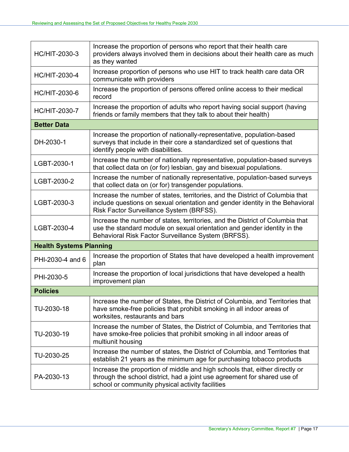| <b>HC/HIT-2030-3</b>           | Increase the proportion of persons who report that their health care<br>providers always involved them in decisions about their health care as much<br>as they wanted                                            |  |
|--------------------------------|------------------------------------------------------------------------------------------------------------------------------------------------------------------------------------------------------------------|--|
| <b>HC/HIT-2030-4</b>           | Increase proportion of persons who use HIT to track health care data OR<br>communicate with providers                                                                                                            |  |
| <b>HC/HIT-2030-6</b>           | Increase the proportion of persons offered online access to their medical<br>record                                                                                                                              |  |
| <b>HC/HIT-2030-7</b>           | Increase the proportion of adults who report having social support (having<br>friends or family members that they talk to about their health)                                                                    |  |
| <b>Better Data</b>             |                                                                                                                                                                                                                  |  |
| DH-2030-1                      | Increase the proportion of nationally-representative, population-based<br>surveys that include in their core a standardized set of questions that<br>identify people with disabilities.                          |  |
| LGBT-2030-1                    | Increase the number of nationally representative, population-based surveys<br>that collect data on (or for) lesbian, gay and bisexual populations.                                                               |  |
| LGBT-2030-2                    | Increase the number of nationally representative, population-based surveys<br>that collect data on (or for) transgender populations.                                                                             |  |
| LGBT-2030-3                    | Increase the number of states, territories, and the District of Columbia that<br>include questions on sexual orientation and gender identity in the Behavioral<br>Risk Factor Surveillance System (BRFSS).       |  |
| LGBT-2030-4                    | Increase the number of states, territories, and the District of Columbia that<br>use the standard module on sexual orientation and gender identity in the<br>Behavioral Risk Factor Surveillance System (BRFSS). |  |
| <b>Health Systems Planning</b> |                                                                                                                                                                                                                  |  |
| PHI-2030-4 and 6               | Increase the proportion of States that have developed a health improvement<br>plan                                                                                                                               |  |
| PHI-2030-5                     | Increase the proportion of local jurisdictions that have developed a health<br>improvement plan                                                                                                                  |  |
| <b>Policies</b>                |                                                                                                                                                                                                                  |  |
| TU-2030-18                     | Increase the number of States, the District of Columbia, and Territories that<br>have smoke-free policies that prohibit smoking in all indoor areas of<br>worksites, restaurants and bars                        |  |
| TU-2030-19                     | Increase the number of States, the District of Columbia, and Territories that<br>have smoke-free policies that prohibit smoking in all indoor areas of<br>multiunit housing                                      |  |
| TU-2030-25                     | Increase the number of states, the District of Columbia, and Territories that<br>establish 21 years as the minimum age for purchasing tobacco products                                                           |  |
| PA-2030-13                     | Increase the proportion of middle and high schools that, either directly or<br>through the school district, had a joint use agreement for shared use of<br>school or community physical activity facilities      |  |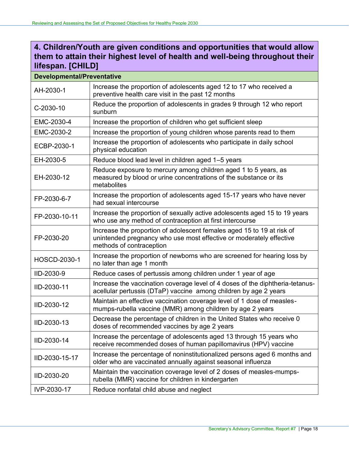## **4. Children/Youth are given conditions and opportunities that would allow them to attain their highest level of health and well-being throughout their lifespan. [CHILD]**

## **Developmental/Preventative**

| AH-2030-1           | Increase the proportion of adolescents aged 12 to 17 who received a<br>preventive health care visit in the past 12 months                                                 |  |
|---------------------|---------------------------------------------------------------------------------------------------------------------------------------------------------------------------|--|
| C-2030-10           | Reduce the proportion of adolescents in grades 9 through 12 who report<br>sunburn                                                                                         |  |
| EMC-2030-4          | Increase the proportion of children who get sufficient sleep                                                                                                              |  |
| EMC-2030-2          | Increase the proportion of young children whose parents read to them                                                                                                      |  |
| ECBP-2030-1         | Increase the proportion of adolescents who participate in daily school<br>physical education                                                                              |  |
| EH-2030-5           | Reduce blood lead level in children aged 1-5 years                                                                                                                        |  |
| EH-2030-12          | Reduce exposure to mercury among children aged 1 to 5 years, as<br>measured by blood or urine concentrations of the substance or its<br>metabolites                       |  |
| FP-2030-6-7         | Increase the proportion of adolescents aged 15-17 years who have never<br>had sexual intercourse                                                                          |  |
| FP-2030-10-11       | Increase the proportion of sexually active adolescents aged 15 to 19 years<br>who use any method of contraception at first intercourse                                    |  |
| FP-2030-20          | Increase the proportion of adolescent females aged 15 to 19 at risk of<br>unintended pregnancy who use most effective or moderately effective<br>methods of contraception |  |
| <b>HOSCD-2030-1</b> | Increase the proportion of newborns who are screened for hearing loss by<br>no later than age 1 month                                                                     |  |
| IID-2030-9          | Reduce cases of pertussis among children under 1 year of age                                                                                                              |  |
| IID-2030-11         | Increase the vaccination coverage level of 4 doses of the diphtheria-tetanus-<br>acellular pertussis (DTaP) vaccine among children by age 2 years                         |  |
| IID-2030-12         | Maintain an effective vaccination coverage level of 1 dose of measles-<br>mumps-rubella vaccine (MMR) among children by age 2 years                                       |  |
| IID-2030-13         | Decrease the percentage of children in the United States who receive 0<br>doses of recommended vaccines by age 2 years                                                    |  |
| IID-2030-14         | Increase the percentage of adolescents aged 13 through 15 years who<br>receive recommended doses of human papillomavirus (HPV) vaccine                                    |  |
| IID-2030-15-17      | Increase the percentage of noninstitutionalized persons aged 6 months and<br>older who are vaccinated annually against seasonal influenza                                 |  |
| IID-2030-20         | Maintain the vaccination coverage level of 2 doses of measles-mumps-<br>rubella (MMR) vaccine for children in kindergarten                                                |  |
| IVP-2030-17         | Reduce nonfatal child abuse and neglect                                                                                                                                   |  |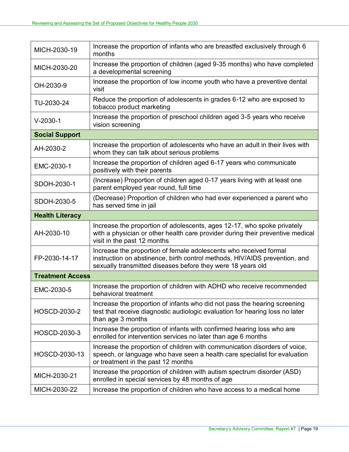| MICH-2030-19            | Increase the proportion of infants who are breastfed exclusively through 6<br>months                                                                                                                           |  |
|-------------------------|----------------------------------------------------------------------------------------------------------------------------------------------------------------------------------------------------------------|--|
| MICH-2030-20            | Increase the proportion of children (aged 9-35 months) who have completed<br>a developmental screening                                                                                                         |  |
| OH-2030-9               | Increase the proportion of low income youth who have a preventive dental<br>visit                                                                                                                              |  |
| TU-2030-24              | Reduce the proportion of adolescents in grades 6-12 who are exposed to<br>tobacco product marketing                                                                                                            |  |
| $V-2030-1$              | Increase the proportion of preschool children aged 3-5 years who receive<br>vision screening                                                                                                                   |  |
| <b>Social Support</b>   |                                                                                                                                                                                                                |  |
| AH-2030-2               | Increase the proportion of adolescents who have an adult in their lives with<br>whom they can talk about serious problems                                                                                      |  |
| EMC-2030-1              | Increase the proportion of children aged 6-17 years who communicate<br>positively with their parents                                                                                                           |  |
| SDOH-2030-1             | (Increase) Proportion of children aged 0-17 years living with at least one<br>parent employed year round, full time                                                                                            |  |
| SDOH-2030-5             | (Decrease) Proportion of children who had ever experienced a parent who<br>has served time in jail                                                                                                             |  |
| <b>Health Literacy</b>  |                                                                                                                                                                                                                |  |
| AH-2030-10              | Increase the proportion of adolescents, ages 12-17, who spoke privately<br>with a physician or other health care provider during their preventive medical<br>visit in the past 12 months                       |  |
| FP-2030-14-17           | Increase the proportion of female adolescents who received formal<br>instruction on abstinence, birth control methods, HIV/AIDS prevention, and<br>sexually transmitted diseases before they were 18 years old |  |
| <b>Treatment Access</b> |                                                                                                                                                                                                                |  |
| EMC-2030-5              | Increase the proportion of children with ADHD who receive recommended<br>behavioral treatment                                                                                                                  |  |
| <b>HOSCD-2030-2</b>     | Increase the proportion of infants who did not pass the hearing screening<br>test that receive diagnostic audiologic evaluation for hearing loss no later<br>than age 3 months                                 |  |
| HOSCD-2030-3            | Increase the proportion of infants with confirmed hearing loss who are<br>enrolled for intervention services no later than age 6 months                                                                        |  |
| HOSCD-2030-13           | Increase the proportion of children with communication disorders of voice,<br>speech, or language who have seen a health care specialist for evaluation<br>or treatment in the past 12 months                  |  |
| MICH-2030-21            | Increase the proportion of children with autism spectrum disorder (ASD)<br>enrolled in special services by 48 months of age                                                                                    |  |
| MICH-2030-22            | Increase the proportion of children who have access to a medical home                                                                                                                                          |  |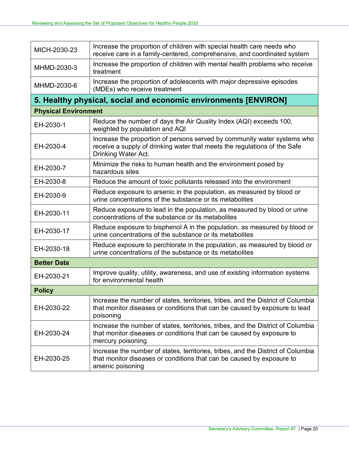| MICH-2030-23                | Increase the proportion of children with special health care needs who<br>receive care in a family-centered, comprehensive, and coordinated system                             |  |  |
|-----------------------------|--------------------------------------------------------------------------------------------------------------------------------------------------------------------------------|--|--|
| MHMD-2030-3                 | Increase the proportion of children with mental health problems who receive<br>treatment                                                                                       |  |  |
| MHMD-2030-6                 | Increase the proportion of adolescents with major depressive episodes<br>(MDEs) who receive treatment                                                                          |  |  |
|                             | 5. Healthy physical, social and economic environments [ENVIRON]                                                                                                                |  |  |
| <b>Physical Environment</b> |                                                                                                                                                                                |  |  |
| EH-2030-1                   | Reduce the number of days the Air Quality Index (AQI) exceeds 100,<br>weighted by population and AQI                                                                           |  |  |
| EH-2030-4                   | Increase the proportion of persons served by community water systems who<br>receive a supply of drinking water that meets the regulations of the Safe<br>Drinking Water Act.   |  |  |
| EH-2030-7                   | Minimize the risks to human health and the environment posed by<br>hazardous sites                                                                                             |  |  |
| EH-2030-8                   | Reduce the amount of toxic pollutants released into the environment                                                                                                            |  |  |
| EH-2030-9                   | Reduce exposure to arsenic in the population, as measured by blood or<br>urine concentrations of the substance or its metabolites                                              |  |  |
| EH-2030-11                  | Reduce exposure to lead in the population, as measured by blood or urine<br>concentrations of the substance or its metabolites                                                 |  |  |
| EH-2030-17                  | Reduce exposure to bisphenol A in the population, as measured by blood or<br>urine concentrations of the substance or its metabolites                                          |  |  |
| EH-2030-18                  | Reduce exposure to perchlorate in the population, as measured by blood or<br>urine concentrations of the substance or its metabolites                                          |  |  |
| <b>Better Data</b>          |                                                                                                                                                                                |  |  |
| EH-2030-21                  | Improve quality, utility, awareness, and use of existing information systems<br>for environmental health                                                                       |  |  |
| <b>Policy</b>               |                                                                                                                                                                                |  |  |
| EH-2030-22                  | Increase the number of states, territories, tribes, and the District of Columbia<br>that monitor diseases or conditions that can be caused by exposure to lead<br>poisoning    |  |  |
| EH-2030-24                  | Increase the number of states, territories, tribes, and the District of Columbia<br>that monitor diseases or conditions that can be caused by exposure to<br>mercury poisoning |  |  |
| EH-2030-25                  | Increase the number of states, territories, tribes, and the District of Columbia<br>that monitor diseases or conditions that can be caused by exposure to<br>arsenic poisoning |  |  |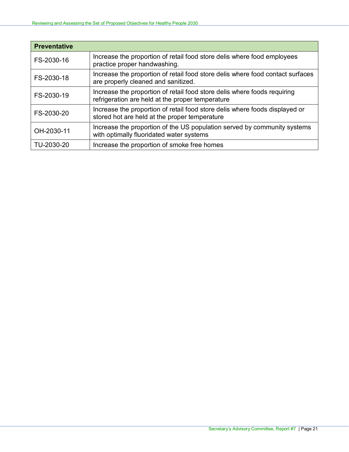| <b>Preventative</b> |                                                                                                                              |
|---------------------|------------------------------------------------------------------------------------------------------------------------------|
| FS-2030-16          | Increase the proportion of retail food store delis where food employees<br>practice proper handwashing.                      |
| FS-2030-18          | Increase the proportion of retail food store delis where food contact surfaces<br>are properly cleaned and sanitized.        |
| FS-2030-19          | Increase the proportion of retail food store delis where foods requiring<br>refrigeration are held at the proper temperature |
| FS-2030-20          | Increase the proportion of retail food store delis where foods displayed or<br>stored hot are held at the proper temperature |
| OH-2030-11          | Increase the proportion of the US population served by community systems<br>with optimally fluoridated water systems         |
| TU-2030-20          | Increase the proportion of smoke free homes                                                                                  |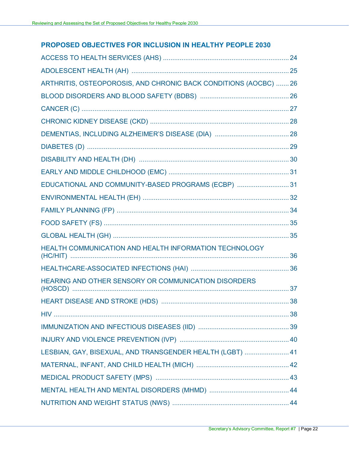## **PROPOSED OBJECTIVES FOR INCLUSION IN HEALTHY PEOPLE 2030**

| ARTHRITIS, OSTEOPOROSIS, AND CHRONIC BACK CONDITIONS (AOCBC)  26 |  |
|------------------------------------------------------------------|--|
|                                                                  |  |
|                                                                  |  |
|                                                                  |  |
|                                                                  |  |
|                                                                  |  |
|                                                                  |  |
|                                                                  |  |
| EDUCATIONAL AND COMMUNITY-BASED PROGRAMS (ECBP)  31              |  |
|                                                                  |  |
|                                                                  |  |
|                                                                  |  |
|                                                                  |  |
| HEALTH COMMUNICATION AND HEALTH INFORMATION TECHNOLOGY           |  |
|                                                                  |  |
| HEARING AND OTHER SENSORY OR COMMUNICATION DISORDERS             |  |
|                                                                  |  |
|                                                                  |  |
|                                                                  |  |
|                                                                  |  |
| LESBIAN, GAY, BISEXUAL, AND TRANSGENDER HEALTH (LGBT)  41        |  |
|                                                                  |  |
|                                                                  |  |
|                                                                  |  |
|                                                                  |  |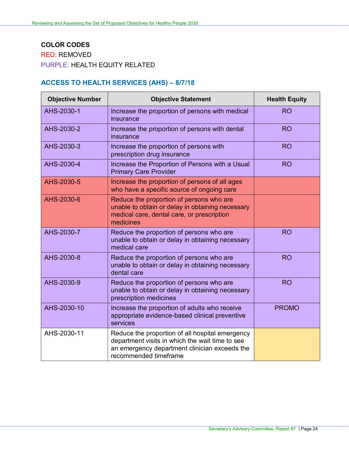# **COLOR CODES** RED: REMOVED PURPLE: HEALTH EQUITY RELATED

# <span id="page-25-0"></span>**ACCESS TO HEALTH SERVICES (AHS) – 8/7/18**

| <b>Objective Number</b> | <b>Objective Statement</b>                                                                                                                                                   | <b>Health Equity</b> |
|-------------------------|------------------------------------------------------------------------------------------------------------------------------------------------------------------------------|----------------------|
| AHS-2030-1              | Increase the proportion of persons with medical<br>insurance                                                                                                                 | <b>RO</b>            |
| AHS-2030-2              | Increase the proportion of persons with dental<br>insurance                                                                                                                  | <b>RO</b>            |
| AHS-2030-3              | Increase the proportion of persons with<br>prescription drug insurance                                                                                                       | <b>RO</b>            |
| AHS-2030-4              | Increase the Proportion of Persons with a Usual<br><b>Primary Care Provider</b>                                                                                              | <b>RO</b>            |
| AHS-2030-5              | Increase the proportion of persons of all ages<br>who have a specific source of ongoing care                                                                                 |                      |
| AHS-2030-6              | Reduce the proportion of persons who are<br>unable to obtain or delay in obtaining necessary<br>medical care, dental care, or prescription<br>medicines                      |                      |
| AHS-2030-7              | Reduce the proportion of persons who are<br>unable to obtain or delay in obtaining necessary<br>medical care                                                                 | <b>RO</b>            |
| AHS-2030-8              | Reduce the proportion of persons who are<br>unable to obtain or delay in obtaining necessary<br>dental care                                                                  | <b>RO</b>            |
| AHS-2030-9              | Reduce the proportion of persons who are<br>unable to obtain or delay in obtaining necessary<br>prescription medicines                                                       | <b>RO</b>            |
| AHS-2030-10             | Increase the proportion of adults who receive<br>appropriate evidence-based clinical preventive<br>services                                                                  | <b>PROMO</b>         |
| AHS-2030-11             | Reduce the proportion of all hospital emergency<br>department visits in which the wait time to see<br>an emergency department clinician exceeds the<br>recommended timeframe |                      |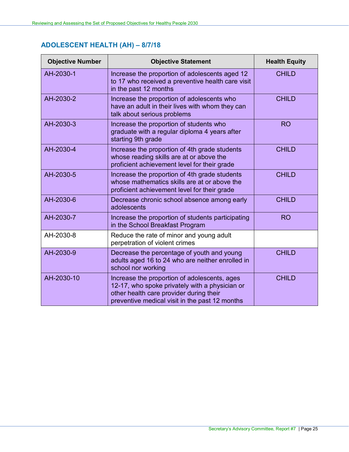# <span id="page-26-0"></span>**ADOLESCENT HEALTH (AH) – 8/7/18**

| <b>Objective Number</b> | <b>Objective Statement</b>                                                                                                                                                                  | <b>Health Equity</b> |
|-------------------------|---------------------------------------------------------------------------------------------------------------------------------------------------------------------------------------------|----------------------|
| AH-2030-1               | Increase the proportion of adolescents aged 12<br>to 17 who received a preventive health care visit<br>in the past 12 months                                                                | <b>CHILD</b>         |
| AH-2030-2               | Increase the proportion of adolescents who<br>have an adult in their lives with whom they can<br>talk about serious problems                                                                | <b>CHILD</b>         |
| AH-2030-3               | Increase the proportion of students who<br>graduate with a regular diploma 4 years after<br>starting 9th grade                                                                              | <b>RO</b>            |
| AH-2030-4               | Increase the proportion of 4th grade students<br>whose reading skills are at or above the<br>proficient achievement level for their grade                                                   | <b>CHILD</b>         |
| AH-2030-5               | Increase the proportion of 4th grade students<br>whose mathematics skills are at or above the<br>proficient achievement level for their grade                                               | <b>CHILD</b>         |
| AH-2030-6               | Decrease chronic school absence among early<br>adolescents                                                                                                                                  | <b>CHILD</b>         |
| AH-2030-7               | Increase the proportion of students participating<br>in the School Breakfast Program                                                                                                        | <b>RO</b>            |
| AH-2030-8               | Reduce the rate of minor and young adult<br>perpetration of violent crimes                                                                                                                  |                      |
| AH-2030-9               | Decrease the percentage of youth and young<br>adults aged 16 to 24 who are neither enrolled in<br>school nor working                                                                        | <b>CHILD</b>         |
| AH-2030-10              | Increase the proportion of adolescents, ages<br>12-17, who spoke privately with a physician or<br>other health care provider during their<br>preventive medical visit in the past 12 months | <b>CHILD</b>         |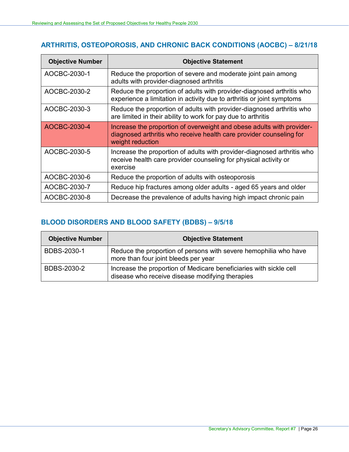## <span id="page-27-0"></span>**ARTHRITIS, OSTEOPOROSIS, AND CHRONIC BACK CONDITIONS (AOCBC) – 8/21/18**

| <b>Objective Number</b> | <b>Objective Statement</b>                                                                                                                                       |
|-------------------------|------------------------------------------------------------------------------------------------------------------------------------------------------------------|
| AOCBC-2030-1            | Reduce the proportion of severe and moderate joint pain among<br>adults with provider-diagnosed arthritis                                                        |
| AOCBC-2030-2            | Reduce the proportion of adults with provider-diagnosed arthritis who<br>experience a limitation in activity due to arthritis or joint symptoms                  |
| AOCBC-2030-3            | Reduce the proportion of adults with provider-diagnosed arthritis who<br>are limited in their ability to work for pay due to arthritis                           |
| AOCBC-2030-4            | Increase the proportion of overweight and obese adults with provider-<br>diagnosed arthritis who receive health care provider counseling for<br>weight reduction |
| AOCBC-2030-5            | Increase the proportion of adults with provider-diagnosed arthritis who<br>receive health care provider counseling for physical activity or<br>exercise          |
| AOCBC-2030-6            | Reduce the proportion of adults with osteoporosis                                                                                                                |
| AOCBC-2030-7            | Reduce hip fractures among older adults - aged 65 years and older                                                                                                |
| AOCBC-2030-8            | Decrease the prevalence of adults having high impact chronic pain                                                                                                |

### <span id="page-27-1"></span>**BLOOD DISORDERS AND BLOOD SAFETY (BDBS) – 9/5/18**

| <b>Objective Number</b> | <b>Objective Statement</b>                                                                                            |
|-------------------------|-----------------------------------------------------------------------------------------------------------------------|
| BDBS-2030-1             | Reduce the proportion of persons with severe hemophilia who have<br>more than four joint bleeds per year              |
| BDBS-2030-2             | Increase the proportion of Medicare beneficiaries with sickle cell<br>disease who receive disease modifying therapies |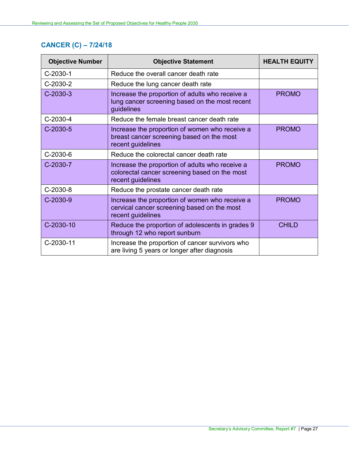# <span id="page-28-0"></span>**CANCER (C) – 7/24/18**

| <b>Objective Number</b> | <b>Objective Statement</b>                                                                                            | <b>HEALTH EQUITY</b> |
|-------------------------|-----------------------------------------------------------------------------------------------------------------------|----------------------|
| $C-2030-1$              | Reduce the overall cancer death rate                                                                                  |                      |
| C-2030-2                | Reduce the lung cancer death rate                                                                                     |                      |
| $C-2030-3$              | Increase the proportion of adults who receive a<br>lung cancer screening based on the most recent<br>guidelines       | <b>PROMO</b>         |
| C-2030-4                | Reduce the female breast cancer death rate                                                                            |                      |
| $C-2030-5$              | Increase the proportion of women who receive a<br>breast cancer screening based on the most<br>recent guidelines      | <b>PROMO</b>         |
| C-2030-6                | Reduce the colorectal cancer death rate                                                                               |                      |
| C-2030-7                | Increase the proportion of adults who receive a<br>colorectal cancer screening based on the most<br>recent guidelines | <b>PROMO</b>         |
| $C-2030-8$              | Reduce the prostate cancer death rate                                                                                 |                      |
| $C-2030-9$              | Increase the proportion of women who receive a<br>cervical cancer screening based on the most<br>recent guidelines    | <b>PROMO</b>         |
| C-2030-10               | Reduce the proportion of adolescents in grades 9<br>through 12 who report sunburn                                     | <b>CHILD</b>         |
| C-2030-11               | Increase the proportion of cancer survivors who<br>are living 5 years or longer after diagnosis                       |                      |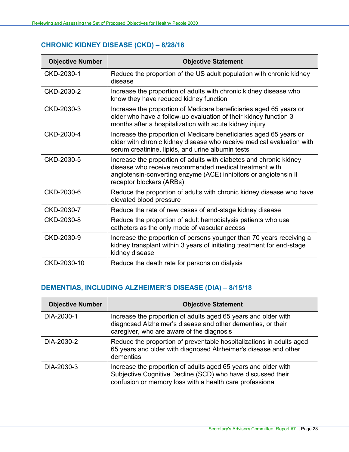# <span id="page-29-0"></span>**CHRONIC KIDNEY DISEASE (CKD) – 8/28/18**

| <b>Objective Number</b> | <b>Objective Statement</b>                                                                                                                                                                                                   |
|-------------------------|------------------------------------------------------------------------------------------------------------------------------------------------------------------------------------------------------------------------------|
| CKD-2030-1              | Reduce the proportion of the US adult population with chronic kidney<br>disease                                                                                                                                              |
| CKD-2030-2              | Increase the proportion of adults with chronic kidney disease who<br>know they have reduced kidney function                                                                                                                  |
| CKD-2030-3              | Increase the proportion of Medicare beneficiaries aged 65 years or<br>older who have a follow-up evaluation of their kidney function 3<br>months after a hospitalization with acute kidney injury                            |
| CKD-2030-4              | Increase the proportion of Medicare beneficiaries aged 65 years or<br>older with chronic kidney disease who receive medical evaluation with<br>serum creatinine, lipids, and urine albumin tests                             |
| CKD-2030-5              | Increase the proportion of adults with diabetes and chronic kidney<br>disease who receive recommended medical treatment with<br>angiotensin-converting enzyme (ACE) inhibitors or angiotensin II<br>receptor blockers (ARBs) |
| CKD-2030-6              | Reduce the proportion of adults with chronic kidney disease who have<br>elevated blood pressure                                                                                                                              |
| CKD-2030-7              | Reduce the rate of new cases of end-stage kidney disease                                                                                                                                                                     |
| CKD-2030-8              | Reduce the proportion of adult hemodialysis patients who use<br>catheters as the only mode of vascular access                                                                                                                |
| CKD-2030-9              | Increase the proportion of persons younger than 70 years receiving a<br>kidney transplant within 3 years of initiating treatment for end-stage<br>kidney disease                                                             |
| CKD-2030-10             | Reduce the death rate for persons on dialysis                                                                                                                                                                                |

## <span id="page-29-1"></span>**DEMENTIAS, INCLUDING ALZHEIMER'S DISEASE (DIA) – 8/15/18**

| <b>Objective Number</b> | <b>Objective Statement</b>                                                                                                                                                                |
|-------------------------|-------------------------------------------------------------------------------------------------------------------------------------------------------------------------------------------|
| DIA-2030-1              | Increase the proportion of adults aged 65 years and older with<br>diagnosed Alzheimer's disease and other dementias, or their<br>caregiver, who are aware of the diagnosis                |
| DIA-2030-2              | Reduce the proportion of preventable hospitalizations in adults aged<br>65 years and older with diagnosed Alzheimer's disease and other<br>dementias                                      |
| DIA-2030-3              | Increase the proportion of adults aged 65 years and older with<br>Subjective Cognitive Decline (SCD) who have discussed their<br>confusion or memory loss with a health care professional |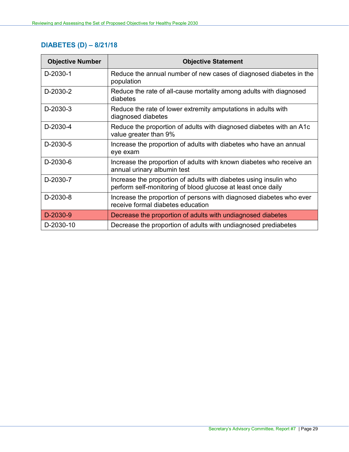# <span id="page-30-0"></span>**DIABETES (D) – 8/21/18**

| <b>Objective Number</b> | <b>Objective Statement</b>                                                                                                        |
|-------------------------|-----------------------------------------------------------------------------------------------------------------------------------|
| D-2030-1                | Reduce the annual number of new cases of diagnosed diabetes in the<br>population                                                  |
| D-2030-2                | Reduce the rate of all-cause mortality among adults with diagnosed<br>diabetes                                                    |
| D-2030-3                | Reduce the rate of lower extremity amputations in adults with<br>diagnosed diabetes                                               |
| D-2030-4                | Reduce the proportion of adults with diagnosed diabetes with an A1c<br>value greater than 9%                                      |
| D-2030-5                | Increase the proportion of adults with diabetes who have an annual<br>eye exam                                                    |
| D-2030-6                | Increase the proportion of adults with known diabetes who receive an<br>annual urinary albumin test                               |
| D-2030-7                | Increase the proportion of adults with diabetes using insulin who<br>perform self-monitoring of blood glucose at least once daily |
| D-2030-8                | Increase the proportion of persons with diagnosed diabetes who ever<br>receive formal diabetes education                          |
| D-2030-9                | Decrease the proportion of adults with undiagnosed diabetes                                                                       |
| D-2030-10               | Decrease the proportion of adults with undiagnosed prediabetes                                                                    |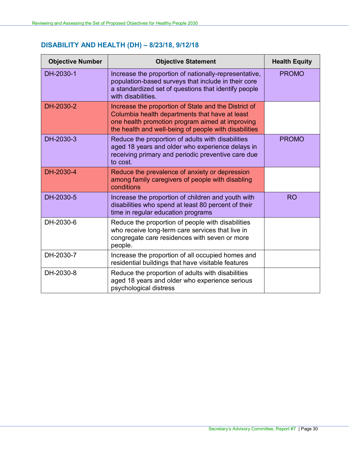# <span id="page-31-0"></span>**DISABILITY AND HEALTH (DH) – 8/23/18, 9/12/18**

| <b>Objective Number</b> | <b>Objective Statement</b>                                                                                                                                                                                         | <b>Health Equity</b> |
|-------------------------|--------------------------------------------------------------------------------------------------------------------------------------------------------------------------------------------------------------------|----------------------|
| DH-2030-1               | Increase the proportion of nationally-representative,<br>population-based surveys that include in their core<br>a standardized set of questions that identify people<br>with disabilities.                         | <b>PROMO</b>         |
| DH-2030-2               | Increase the proportion of State and the District of<br>Columbia health departments that have at least<br>one health promotion program aimed at improving<br>the health and well-being of people with disabilities |                      |
| DH-2030-3               | Reduce the proportion of adults with disabilities<br>aged 18 years and older who experience delays in<br>receiving primary and periodic preventive care due<br>to cost.                                            | <b>PROMO</b>         |
| DH-2030-4               | Reduce the prevalence of anxiety or depression<br>among family caregivers of people with disabling<br>conditions                                                                                                   |                      |
| DH-2030-5               | Increase the proportion of children and youth with<br>disabilities who spend at least 80 percent of their<br>time in regular education programs                                                                    | <b>RO</b>            |
| DH-2030-6               | Reduce the proportion of people with disabilities<br>who receive long-term care services that live in<br>congregate care residences with seven or more<br>people.                                                  |                      |
| DH-2030-7               | Increase the proportion of all occupied homes and<br>residential buildings that have visitable features                                                                                                            |                      |
| DH-2030-8               | Reduce the proportion of adults with disabilities<br>aged 18 years and older who experience serious<br>psychological distress                                                                                      |                      |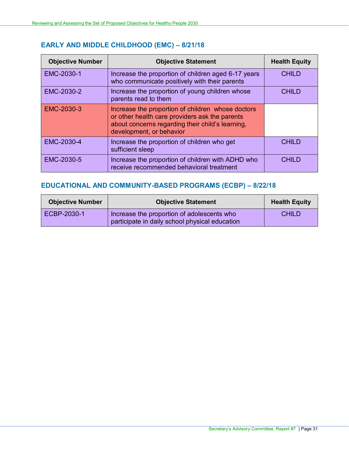# <span id="page-32-0"></span>**EARLY AND MIDDLE CHILDHOOD (EMC) – 8/21/18**

| <b>Objective Number</b> | <b>Objective Statement</b>                                                                                                                                                          | <b>Health Equity</b> |
|-------------------------|-------------------------------------------------------------------------------------------------------------------------------------------------------------------------------------|----------------------|
| EMC-2030-1              | Increase the proportion of children aged 6-17 years<br>who communicate positively with their parents                                                                                | <b>CHILD</b>         |
| EMC-2030-2              | Increase the proportion of young children whose<br>parents read to them                                                                                                             | <b>CHILD</b>         |
| EMC-2030-3              | Increase the proportion of children whose doctors<br>or other health care providers ask the parents<br>about concerns regarding their child's learning,<br>development, or behavior |                      |
| EMC-2030-4              | Increase the proportion of children who get<br>sufficient sleep                                                                                                                     | <b>CHILD</b>         |
| EMC-2030-5              | Increase the proportion of children with ADHD who<br>receive recommended behavioral treatment                                                                                       | <b>CHILD</b>         |

## <span id="page-32-1"></span>**EDUCATIONAL AND COMMUNITY-BASED PROGRAMS (ECBP) – 8/22/18**

| <b>Objective Number</b> | <b>Objective Statement</b>                                                                   | <b>Health Equity</b> |
|-------------------------|----------------------------------------------------------------------------------------------|----------------------|
| ECBP-2030-1             | Increase the proportion of adolescents who<br>participate in daily school physical education | <b>CHILD</b>         |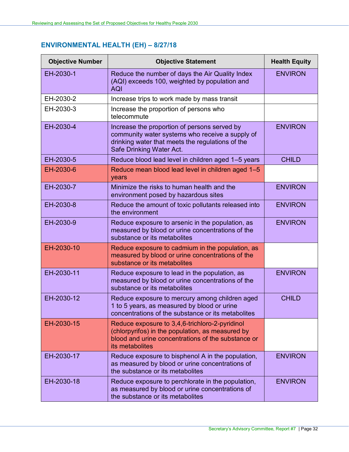# <span id="page-33-0"></span>**ENVIRONMENTAL HEALTH (EH) – 8/27/18**

| <b>Objective Number</b> | <b>Objective Statement</b>                                                                                                                                                      | <b>Health Equity</b> |
|-------------------------|---------------------------------------------------------------------------------------------------------------------------------------------------------------------------------|----------------------|
| EH-2030-1               | Reduce the number of days the Air Quality Index<br>(AQI) exceeds 100, weighted by population and<br><b>AQI</b>                                                                  | <b>ENVIRON</b>       |
| EH-2030-2               | Increase trips to work made by mass transit                                                                                                                                     |                      |
| EH-2030-3               | Increase the proportion of persons who<br>telecommute                                                                                                                           |                      |
| EH-2030-4               | Increase the proportion of persons served by<br>community water systems who receive a supply of<br>drinking water that meets the regulations of the<br>Safe Drinking Water Act. | <b>ENVIRON</b>       |
| EH-2030-5               | Reduce blood lead level in children aged 1-5 years                                                                                                                              | <b>CHILD</b>         |
| EH-2030-6               | Reduce mean blood lead level in children aged 1-5<br>years                                                                                                                      |                      |
| EH-2030-7               | Minimize the risks to human health and the<br>environment posed by hazardous sites                                                                                              | <b>ENVIRON</b>       |
| EH-2030-8               | Reduce the amount of toxic pollutants released into<br>the environment                                                                                                          | <b>ENVIRON</b>       |
| EH-2030-9               | Reduce exposure to arsenic in the population, as<br>measured by blood or urine concentrations of the<br>substance or its metabolites                                            | <b>ENVIRON</b>       |
| EH-2030-10              | Reduce exposure to cadmium in the population, as<br>measured by blood or urine concentrations of the<br>substance or its metabolites                                            |                      |
| EH-2030-11              | Reduce exposure to lead in the population, as<br>measured by blood or urine concentrations of the<br>substance or its metabolites                                               | <b>ENVIRON</b>       |
| EH-2030-12              | Reduce exposure to mercury among children aged<br>1 to 5 years, as measured by blood or urine<br>concentrations of the substance or its metabolites                             | <b>CHILD</b>         |
| EH-2030-15              | Reduce exposure to 3,4,6-trichloro-2-pyridinol<br>(chlorpyrifos) in the population, as measured by<br>blood and urine concentrations of the substance or<br>its metabolites     |                      |
| EH-2030-17              | Reduce exposure to bisphenol A in the population,<br>as measured by blood or urine concentrations of<br>the substance or its metabolites                                        | <b>ENVIRON</b>       |
| EH-2030-18              | Reduce exposure to perchlorate in the population,<br>as measured by blood or urine concentrations of<br>the substance or its metabolites                                        | <b>ENVIRON</b>       |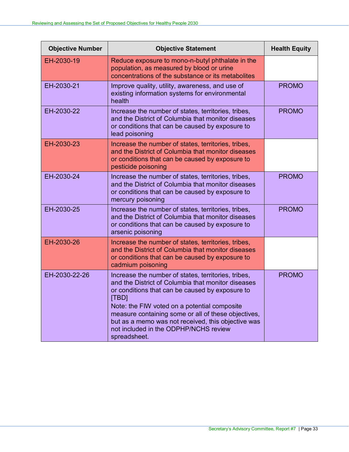| <b>Objective Number</b> | <b>Objective Statement</b>                                                                                                                                                                                                                                                                                                                                                                  | <b>Health Equity</b> |
|-------------------------|---------------------------------------------------------------------------------------------------------------------------------------------------------------------------------------------------------------------------------------------------------------------------------------------------------------------------------------------------------------------------------------------|----------------------|
| EH-2030-19              | Reduce exposure to mono-n-butyl phthalate in the<br>population, as measured by blood or urine<br>concentrations of the substance or its metabolites                                                                                                                                                                                                                                         |                      |
| EH-2030-21              | Improve quality, utility, awareness, and use of<br>existing information systems for environmental<br>health                                                                                                                                                                                                                                                                                 | <b>PROMO</b>         |
| EH-2030-22              | Increase the number of states, territories, tribes,<br>and the District of Columbia that monitor diseases<br>or conditions that can be caused by exposure to<br>lead poisoning                                                                                                                                                                                                              | <b>PROMO</b>         |
| EH-2030-23              | Increase the number of states, territories, tribes,<br>and the District of Columbia that monitor diseases<br>or conditions that can be caused by exposure to<br>pesticide poisoning                                                                                                                                                                                                         |                      |
| EH-2030-24              | Increase the number of states, territories, tribes,<br>and the District of Columbia that monitor diseases<br>or conditions that can be caused by exposure to<br>mercury poisoning                                                                                                                                                                                                           | <b>PROMO</b>         |
| EH-2030-25              | Increase the number of states, territories, tribes,<br>and the District of Columbia that monitor diseases<br>or conditions that can be caused by exposure to<br>arsenic poisoning                                                                                                                                                                                                           | <b>PROMO</b>         |
| EH-2030-26              | Increase the number of states, territories, tribes,<br>and the District of Columbia that monitor diseases<br>or conditions that can be caused by exposure to<br>cadmium poisoning                                                                                                                                                                                                           |                      |
| EH-2030-22-26           | Increase the number of states, territories, tribes,<br>and the District of Columbia that monitor diseases<br>or conditions that can be caused by exposure to<br>[TBD]<br>Note: the FIW voted on a potential composite<br>measure containing some or all of these objectives,<br>but as a memo was not received, this objective was<br>not included in the ODPHP/NCHS review<br>spreadsheet. | <b>PROMO</b>         |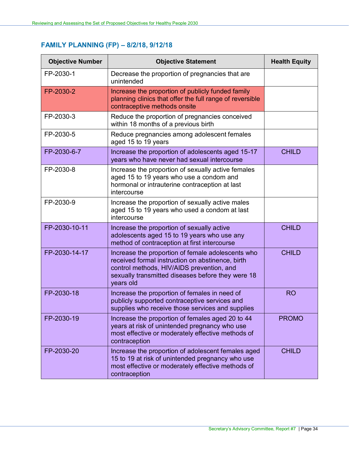# <span id="page-35-0"></span>**FAMILY PLANNING (FP) – 8/2/18, 9/12/18**

| <b>Objective Number</b> | <b>Objective Statement</b>                                                                                                                                                                                           | <b>Health Equity</b> |
|-------------------------|----------------------------------------------------------------------------------------------------------------------------------------------------------------------------------------------------------------------|----------------------|
| FP-2030-1               | Decrease the proportion of pregnancies that are<br>unintended                                                                                                                                                        |                      |
| FP-2030-2               | Increase the proportion of publicly funded family<br>planning clinics that offer the full range of reversible<br>contraceptive methods onsite                                                                        |                      |
| FP-2030-3               | Reduce the proportion of pregnancies conceived<br>within 18 months of a previous birth                                                                                                                               |                      |
| FP-2030-5               | Reduce pregnancies among adolescent females<br>aged 15 to 19 years                                                                                                                                                   |                      |
| FP-2030-6-7             | Increase the proportion of adolescents aged 15-17<br>years who have never had sexual intercourse                                                                                                                     | <b>CHILD</b>         |
| FP-2030-8               | Increase the proportion of sexually active females<br>aged 15 to 19 years who use a condom and<br>hormonal or intrauterine contraception at last<br>intercourse                                                      |                      |
| FP-2030-9               | Increase the proportion of sexually active males<br>aged 15 to 19 years who used a condom at last<br>intercourse                                                                                                     |                      |
| FP-2030-10-11           | Increase the proportion of sexually active<br>adolescents aged 15 to 19 years who use any<br>method of contraception at first intercourse                                                                            | <b>CHILD</b>         |
| FP-2030-14-17           | Increase the proportion of female adolescents who<br>received formal instruction on abstinence, birth<br>control methods, HIV/AIDS prevention, and<br>sexually transmitted diseases before they were 18<br>years old | <b>CHILD</b>         |
| FP-2030-18              | Increase the proportion of females in need of<br>publicly supported contraceptive services and<br>supplies who receive those services and supplies                                                                   | <b>RO</b>            |
| FP-2030-19              | Increase the proportion of females aged 20 to 44<br>years at risk of unintended pregnancy who use<br>most effective or moderately effective methods of<br>contraception                                              | <b>PROMO</b>         |
| FP-2030-20              | Increase the proportion of adolescent females aged<br>15 to 19 at risk of unintended pregnancy who use<br>most effective or moderately effective methods of<br>contraception                                         | <b>CHILD</b>         |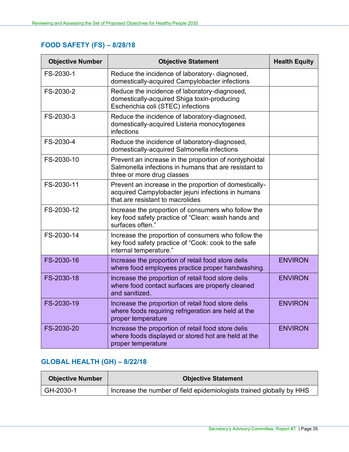## <span id="page-36-0"></span>**FOOD SAFETY (FS) – 8/28/18**

| <b>Objective Number</b> | <b>Objective Statement</b>                                                                                                                       | <b>Health Equity</b> |
|-------------------------|--------------------------------------------------------------------------------------------------------------------------------------------------|----------------------|
| FS-2030-1               | Reduce the incidence of laboratory- diagnosed,<br>domestically-acquired Campylobacter infections                                                 |                      |
| FS-2030-2               | Reduce the incidence of laboratory-diagnosed,<br>domestically-acquired Shiga toxin-producing<br>Escherichia coli (STEC) infections               |                      |
| FS-2030-3               | Reduce the incidence of laboratory-diagnosed,<br>domestically-acquired Listeria monocytogenes<br>infections                                      |                      |
| FS-2030-4               | Reduce the incidence of laboratory-diagnosed,<br>domestically-acquired Salmonella infections                                                     |                      |
| FS-2030-10              | Prevent an increase in the proportion of nontyphoidal<br>Salmonella infections in humans that are resistant to<br>three or more drug classes     |                      |
| FS-2030-11              | Prevent an increase in the proportion of domestically-<br>acquired Campylobacter jejuni infections in humans<br>that are resistant to macrolides |                      |
| FS-2030-12              | Increase the proportion of consumers who follow the<br>key food safety practice of "Clean: wash hands and<br>surfaces often."                    |                      |
| FS-2030-14              | Increase the proportion of consumers who follow the<br>key food safety practice of "Cook: cook to the safe<br>internal temperature."             |                      |
| FS-2030-16              | Increase the proportion of retail food store delis<br>where food employees practice proper handwashing.                                          | <b>ENVIRON</b>       |
| FS-2030-18              | Increase the proportion of retail food store delis<br>where food contact surfaces are properly cleaned<br>and sanitized.                         | <b>ENVIRON</b>       |
| FS-2030-19              | Increase the proportion of retail food store delis<br>where foods requiring refrigeration are held at the<br>proper temperature                  | <b>ENVIRON</b>       |
| FS-2030-20              | Increase the proportion of retail food store delis<br>where foods displayed or stored hot are held at the<br>proper temperature                  | <b>ENVIRON</b>       |

## <span id="page-36-1"></span>**GLOBAL HEALTH (GH) – 8/22/18**

| <b>Objective Number</b> | <b>Objective Statement</b>                                           |
|-------------------------|----------------------------------------------------------------------|
| GH-2030-1               | Increase the number of field epidemiologists trained globally by HHS |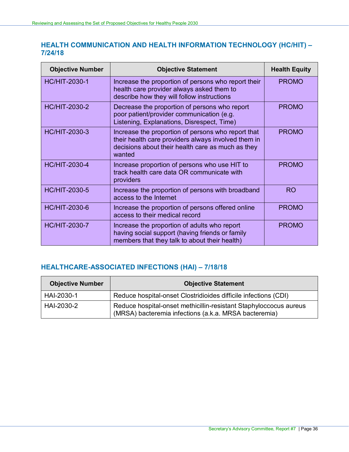## <span id="page-37-0"></span>**HEALTH COMMUNICATION AND HEALTH INFORMATION TECHNOLOGY (HC/HIT) – 7/24/18**

| <b>Objective Number</b> | <b>Objective Statement</b>                                                                                                                                               | <b>Health Equity</b> |
|-------------------------|--------------------------------------------------------------------------------------------------------------------------------------------------------------------------|----------------------|
| <b>HC/HIT-2030-1</b>    | Increase the proportion of persons who report their<br>health care provider always asked them to<br>describe how they will follow instructions                           | <b>PROMO</b>         |
| <b>HC/HIT-2030-2</b>    | Decrease the proportion of persons who report<br>poor patient/provider communication (e.g.<br>Listening, Explanations, Disrespect, Time)                                 | <b>PROMO</b>         |
| <b>HC/HIT-2030-3</b>    | Increase the proportion of persons who report that<br>their health care providers always involved them in<br>decisions about their health care as much as they<br>wanted | <b>PROMO</b>         |
| <b>HC/HIT-2030-4</b>    | Increase proportion of persons who use HIT to<br>track health care data OR communicate with<br>providers                                                                 | <b>PROMO</b>         |
| <b>HC/HIT-2030-5</b>    | Increase the proportion of persons with broadband<br>access to the Internet                                                                                              | <b>RO</b>            |
| <b>HC/HIT-2030-6</b>    | Increase the proportion of persons offered online<br>access to their medical record                                                                                      | <b>PROMO</b>         |
| <b>HC/HIT-2030-7</b>    | Increase the proportion of adults who report<br>having social support (having friends or family<br>members that they talk to about their health)                         | <b>PROMO</b>         |

## <span id="page-37-1"></span>**HEALTHCARE-ASSOCIATED INFECTIONS (HAI) – 7/18/18**

| <b>Objective Number</b> | <b>Objective Statement</b>                                                                                                 |
|-------------------------|----------------------------------------------------------------------------------------------------------------------------|
| HAI-2030-1              | Reduce hospital-onset Clostridioides difficile infections (CDI)                                                            |
| HAI-2030-2              | Reduce hospital-onset methicillin-resistant Staphyloccocus aureus<br>(MRSA) bacteremia infections (a.k.a. MRSA bacteremia) |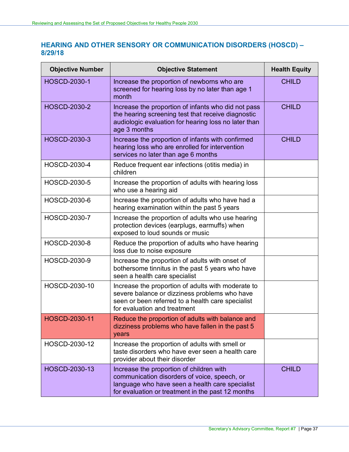## <span id="page-38-0"></span>**HEARING AND OTHER SENSORY OR COMMUNICATION DISORDERS (HOSCD) – 8/29/18**

| <b>Objective Number</b> | <b>Objective Statement</b>                                                                                                                                                                       | <b>Health Equity</b> |
|-------------------------|--------------------------------------------------------------------------------------------------------------------------------------------------------------------------------------------------|----------------------|
| <b>HOSCD-2030-1</b>     | Increase the proportion of newborns who are<br>screened for hearing loss by no later than age 1<br>month                                                                                         | <b>CHILD</b>         |
| <b>HOSCD-2030-2</b>     | Increase the proportion of infants who did not pass<br>the hearing screening test that receive diagnostic<br>audiologic evaluation for hearing loss no later than<br>age 3 months                | <b>CHILD</b>         |
| <b>HOSCD-2030-3</b>     | Increase the proportion of infants with confirmed<br>hearing loss who are enrolled for intervention<br>services no later than age 6 months                                                       | <b>CHILD</b>         |
| <b>HOSCD-2030-4</b>     | Reduce frequent ear infections (otitis media) in<br>children                                                                                                                                     |                      |
| <b>HOSCD-2030-5</b>     | Increase the proportion of adults with hearing loss<br>who use a hearing aid                                                                                                                     |                      |
| HOSCD-2030-6            | Increase the proportion of adults who have had a<br>hearing examination within the past 5 years                                                                                                  |                      |
| <b>HOSCD-2030-7</b>     | Increase the proportion of adults who use hearing<br>protection devices (earplugs, earmuffs) when<br>exposed to loud sounds or music                                                             |                      |
| <b>HOSCD-2030-8</b>     | Reduce the proportion of adults who have hearing<br>loss due to noise exposure                                                                                                                   |                      |
| HOSCD-2030-9            | Increase the proportion of adults with onset of<br>bothersome tinnitus in the past 5 years who have<br>seen a health care specialist                                                             |                      |
| HOSCD-2030-10           | Increase the proportion of adults with moderate to<br>severe balance or dizziness problems who have<br>seen or been referred to a health care specialist<br>for evaluation and treatment         |                      |
| HOSCD-2030-11           | Reduce the proportion of adults with balance and<br>dizziness problems who have fallen in the past 5<br>years                                                                                    |                      |
| HOSCD-2030-12           | Increase the proportion of adults with smell or<br>taste disorders who have ever seen a health care<br>provider about their disorder                                                             |                      |
| HOSCD-2030-13           | Increase the proportion of children with<br>communication disorders of voice, speech, or<br>language who have seen a health care specialist<br>for evaluation or treatment in the past 12 months | <b>CHILD</b>         |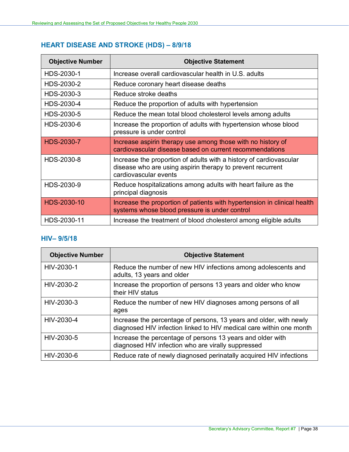# <span id="page-39-0"></span>**HEART DISEASE AND STROKE (HDS) – 8/9/18**

| <b>Objective Number</b> | <b>Objective Statement</b>                                                                                                                                |
|-------------------------|-----------------------------------------------------------------------------------------------------------------------------------------------------------|
| HDS-2030-1              | Increase overall cardiovascular health in U.S. adults                                                                                                     |
| HDS-2030-2              | Reduce coronary heart disease deaths                                                                                                                      |
| HDS-2030-3              | Reduce stroke deaths                                                                                                                                      |
| HDS-2030-4              | Reduce the proportion of adults with hypertension                                                                                                         |
| HDS-2030-5              | Reduce the mean total blood cholesterol levels among adults                                                                                               |
| HDS-2030-6              | Increase the proportion of adults with hypertension whose blood<br>pressure is under control                                                              |
| <b>HDS-2030-7</b>       | Increase aspirin therapy use among those with no history of<br>cardiovascular disease based on current recommendations                                    |
| HDS-2030-8              | Increase the proportion of adults with a history of cardiovascular<br>disease who are using aspirin therapy to prevent recurrent<br>cardiovascular events |
| HDS-2030-9              | Reduce hospitalizations among adults with heart failure as the<br>principal diagnosis                                                                     |
| HDS-2030-10             | Increase the proportion of patients with hypertension in clinical health<br>systems whose blood pressure is under control                                 |
| HDS-2030-11             | Increase the treatment of blood cholesterol among eligible adults                                                                                         |

#### <span id="page-39-1"></span>**HIV– 9/5/18**

| <b>Objective Number</b> | <b>Objective Statement</b>                                                                                                                |
|-------------------------|-------------------------------------------------------------------------------------------------------------------------------------------|
| HIV-2030-1              | Reduce the number of new HIV infections among adolescents and<br>adults, 13 years and older                                               |
| HIV-2030-2              | Increase the proportion of persons 13 years and older who know<br>their HIV status                                                        |
| HIV-2030-3              | Reduce the number of new HIV diagnoses among persons of all<br>ages                                                                       |
| HIV-2030-4              | Increase the percentage of persons, 13 years and older, with newly<br>diagnosed HIV infection linked to HIV medical care within one month |
| HIV-2030-5              | Increase the percentage of persons 13 years and older with<br>diagnosed HIV infection who are virally suppressed                          |
| HIV-2030-6              | Reduce rate of newly diagnosed perinatally acquired HIV infections                                                                        |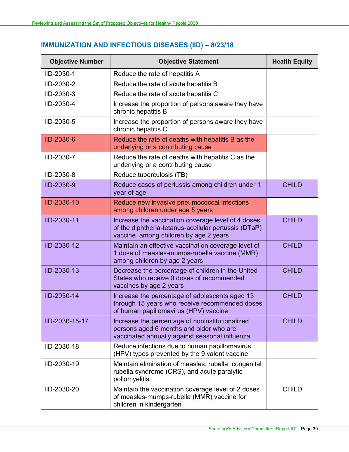## <span id="page-40-0"></span>**IMMUNIZATION AND INFECTIOUS DISEASES (IID) – 8/23/18**

| <b>Objective Number</b> | <b>Objective Statement</b>                                                                                                                          | <b>Health Equity</b> |
|-------------------------|-----------------------------------------------------------------------------------------------------------------------------------------------------|----------------------|
| IID-2030-1              | Reduce the rate of hepatitis A                                                                                                                      |                      |
| IID-2030-2              | Reduce the rate of acute hepatitis B                                                                                                                |                      |
| IID-2030-3              | Reduce the rate of acute hepatitis C                                                                                                                |                      |
| IID-2030-4              | Increase the proportion of persons aware they have<br>chronic hepatitis B                                                                           |                      |
| IID-2030-5              | Increase the proportion of persons aware they have<br>chronic hepatitis C                                                                           |                      |
| <b>IID-2030-6</b>       | Reduce the rate of deaths with hepatitis B as the<br>underlying or a contributing cause                                                             |                      |
| IID-2030-7              | Reduce the rate of deaths with hepatitis C as the<br>underlying or a contributing cause                                                             |                      |
| IID-2030-8              | Reduce tuberculosis (TB)                                                                                                                            |                      |
| IID-2030-9              | Reduce cases of pertussis among children under 1<br>year of age                                                                                     | <b>CHILD</b>         |
| <b>IID-2030-10</b>      | Reduce new invasive pneumococcal infections<br>among children under age 5 years                                                                     |                      |
| IID-2030-11             | Increase the vaccination coverage level of 4 doses<br>of the diphtheria-tetanus-acellular pertussis (DTaP)<br>vaccine among children by age 2 years | <b>CHILD</b>         |
| IID-2030-12             | Maintain an effective vaccination coverage level of<br>1 dose of measles-mumps-rubella vaccine (MMR)<br>among children by age 2 years               | <b>CHILD</b>         |
| IID-2030-13             | Decrease the percentage of children in the United<br>States who receive 0 doses of recommended<br>vaccines by age 2 years                           | <b>CHILD</b>         |
| IID-2030-14             | Increase the percentage of adolescents aged 13<br>through 15 years who receive recommended doses<br>of human papillomavirus (HPV) vaccine           | <b>CHILD</b>         |
| IID-2030-15-17          | Increase the percentage of noninstitutionalized<br>persons aged 6 months and older who are<br>vaccinated annually against seasonal influenza        | <b>CHILD</b>         |
| IID-2030-18             | Reduce infections due to human papillomavirus<br>(HPV) types prevented by the 9 valent vaccine                                                      |                      |
| IID-2030-19             | Maintain elimination of measles, rubella, congenital<br>rubella syndrome (CRS), and acute paralytic<br>poliomyelitis.                               |                      |
| IID-2030-20             | Maintain the vaccination coverage level of 2 doses<br>of measles-mumps-rubella (MMR) vaccine for<br>children in kindergarten                        | <b>CHILD</b>         |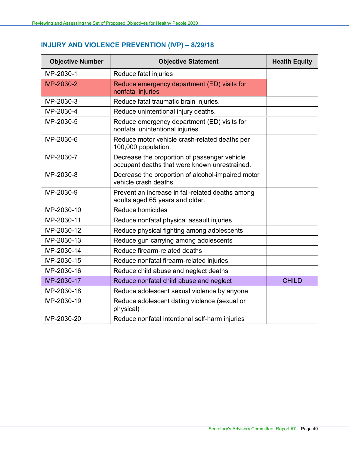# <span id="page-41-0"></span>**INJURY AND VIOLENCE PREVENTION (IVP) – 8/29/18**

| <b>Objective Number</b> | <b>Objective Statement</b>                                                                    | <b>Health Equity</b> |
|-------------------------|-----------------------------------------------------------------------------------------------|----------------------|
| IVP-2030-1              | Reduce fatal injuries                                                                         |                      |
| <b>IVP-2030-2</b>       | Reduce emergency department (ED) visits for<br>nonfatal injuries                              |                      |
| IVP-2030-3              | Reduce fatal traumatic brain injuries.                                                        |                      |
| IVP-2030-4              | Reduce unintentional injury deaths.                                                           |                      |
| IVP-2030-5              | Reduce emergency department (ED) visits for<br>nonfatal unintentional injuries.               |                      |
| IVP-2030-6              | Reduce motor vehicle crash-related deaths per<br>100,000 population.                          |                      |
| IVP-2030-7              | Decrease the proportion of passenger vehicle<br>occupant deaths that were known unrestrained. |                      |
| IVP-2030-8              | Decrease the proportion of alcohol-impaired motor<br>vehicle crash deaths.                    |                      |
| IVP-2030-9              | Prevent an increase in fall-related deaths among<br>adults aged 65 years and older.           |                      |
| IVP-2030-10             | Reduce homicides                                                                              |                      |
| IVP-2030-11             | Reduce nonfatal physical assault injuries                                                     |                      |
| IVP-2030-12             | Reduce physical fighting among adolescents                                                    |                      |
| IVP-2030-13             | Reduce gun carrying among adolescents                                                         |                      |
| IVP-2030-14             | Reduce firearm-related deaths                                                                 |                      |
| IVP-2030-15             | Reduce nonfatal firearm-related injuries                                                      |                      |
| IVP-2030-16             | Reduce child abuse and neglect deaths                                                         |                      |
| IVP-2030-17             | Reduce nonfatal child abuse and neglect                                                       | <b>CHILD</b>         |
| IVP-2030-18             | Reduce adolescent sexual violence by anyone                                                   |                      |
| IVP-2030-19             | Reduce adolescent dating violence (sexual or<br>physical)                                     |                      |
| IVP-2030-20             | Reduce nonfatal intentional self-harm injuries                                                |                      |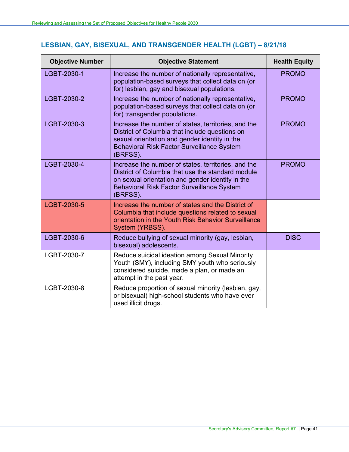# <span id="page-42-0"></span>**LESBIAN, GAY, BISEXUAL, AND TRANSGENDER HEALTH (LGBT) – 8/21/18**

| <b>Objective Number</b> | <b>Objective Statement</b>                                                                                                                                                                                                    | <b>Health Equity</b> |
|-------------------------|-------------------------------------------------------------------------------------------------------------------------------------------------------------------------------------------------------------------------------|----------------------|
| LGBT-2030-1             | Increase the number of nationally representative,<br>population-based surveys that collect data on (or<br>for) lesbian, gay and bisexual populations.                                                                         | <b>PROMO</b>         |
| LGBT-2030-2             | Increase the number of nationally representative,<br>population-based surveys that collect data on (or<br>for) transgender populations.                                                                                       | <b>PROMO</b>         |
| LGBT-2030-3             | Increase the number of states, territories, and the<br>District of Columbia that include questions on<br>sexual orientation and gender identity in the<br><b>Behavioral Risk Factor Surveillance System</b><br>(BRFSS).       | <b>PROMO</b>         |
| LGBT-2030-4             | Increase the number of states, territories, and the<br>District of Columbia that use the standard module<br>on sexual orientation and gender identity in the<br><b>Behavioral Risk Factor Surveillance System</b><br>(BRFSS). | <b>PROMO</b>         |
| LGBT-2030-5             | Increase the number of states and the District of<br>Columbia that include questions related to sexual<br>orientation in the Youth Risk Behavior Surveillance<br>System (YRBSS).                                              |                      |
| LGBT-2030-6             | Reduce bullying of sexual minority (gay, lesbian,<br>bisexual) adolescents.                                                                                                                                                   | <b>DISC</b>          |
| LGBT-2030-7             | Reduce suicidal ideation among Sexual Minority<br>Youth (SMY), including SMY youth who seriously<br>considered suicide, made a plan, or made an<br>attempt in the past year.                                                  |                      |
| LGBT-2030-8             | Reduce proportion of sexual minority (lesbian, gay,<br>or bisexual) high-school students who have ever<br>used illicit drugs.                                                                                                 |                      |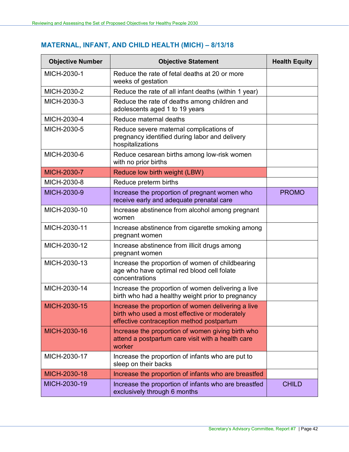# <span id="page-43-0"></span>**MATERNAL, INFANT, AND CHILD HEALTH (MICH) – 8/13/18**

| <b>Objective Number</b> | <b>Objective Statement</b>                                                                                                                       | <b>Health Equity</b> |
|-------------------------|--------------------------------------------------------------------------------------------------------------------------------------------------|----------------------|
| MICH-2030-1             | Reduce the rate of fetal deaths at 20 or more<br>weeks of gestation                                                                              |                      |
| MICH-2030-2             | Reduce the rate of all infant deaths (within 1 year)                                                                                             |                      |
| MICH-2030-3             | Reduce the rate of deaths among children and<br>adolescents aged 1 to 19 years                                                                   |                      |
| MICH-2030-4             | Reduce maternal deaths                                                                                                                           |                      |
| MICH-2030-5             | Reduce severe maternal complications of<br>pregnancy identified during labor and delivery<br>hospitalizations                                    |                      |
| MICH-2030-6             | Reduce cesarean births among low-risk women<br>with no prior births                                                                              |                      |
| <b>MICH-2030-7</b>      | Reduce low birth weight (LBW)                                                                                                                    |                      |
| MICH-2030-8             | Reduce preterm births                                                                                                                            |                      |
| MICH-2030-9             | Increase the proportion of pregnant women who<br>receive early and adequate prenatal care                                                        | <b>PROMO</b>         |
| MICH-2030-10            | Increase abstinence from alcohol among pregnant<br>women                                                                                         |                      |
| MICH-2030-11            | Increase abstinence from cigarette smoking among<br>pregnant women                                                                               |                      |
| MICH-2030-12            | Increase abstinence from illicit drugs among<br>pregnant women                                                                                   |                      |
| MICH-2030-13            | Increase the proportion of women of childbearing<br>age who have optimal red blood cell folate<br>concentrations                                 |                      |
| MICH-2030-14            | Increase the proportion of women delivering a live<br>birth who had a healthy weight prior to pregnancy                                          |                      |
| MICH-2030-15            | Increase the proportion of women delivering a live<br>birth who used a most effective or moderately<br>effective contraception method postpartum |                      |
| MICH-2030-16            | Increase the proportion of women giving birth who<br>attend a postpartum care visit with a health care<br>worker                                 |                      |
| MICH-2030-17            | Increase the proportion of infants who are put to<br>sleep on their backs                                                                        |                      |
| MICH-2030-18            | Increase the proportion of infants who are breastfed                                                                                             |                      |
| MICH-2030-19            | Increase the proportion of infants who are breastfed<br>exclusively through 6 months                                                             | <b>CHILD</b>         |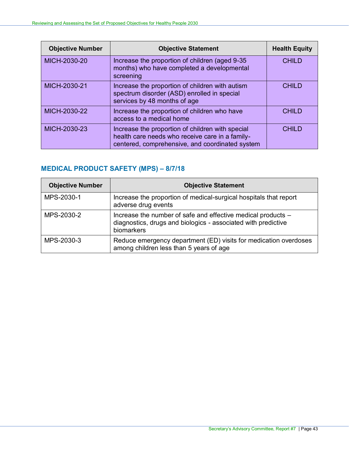| <b>Objective Number</b> | <b>Objective Statement</b>                                                                                                                             | <b>Health Equity</b> |
|-------------------------|--------------------------------------------------------------------------------------------------------------------------------------------------------|----------------------|
| MICH-2030-20            | Increase the proportion of children (aged 9-35)<br>months) who have completed a developmental<br>screening                                             | <b>CHILD</b>         |
| MICH-2030-21            | Increase the proportion of children with autism<br>spectrum disorder (ASD) enrolled in special<br>services by 48 months of age                         | <b>CHILD</b>         |
| MICH-2030-22            | Increase the proportion of children who have<br>access to a medical home                                                                               | <b>CHILD</b>         |
| MICH-2030-23            | Increase the proportion of children with special<br>health care needs who receive care in a family-<br>centered, comprehensive, and coordinated system | CHII D               |

# <span id="page-44-0"></span>**MEDICAL PRODUCT SAFETY (MPS) – 8/7/18**

| <b>Objective Number</b> | <b>Objective Statement</b>                                                                                                                  |
|-------------------------|---------------------------------------------------------------------------------------------------------------------------------------------|
| MPS-2030-1              | Increase the proportion of medical-surgical hospitals that report<br>adverse drug events                                                    |
| MPS-2030-2              | Increase the number of safe and effective medical products -<br>diagnostics, drugs and biologics - associated with predictive<br>biomarkers |
| MPS-2030-3              | Reduce emergency department (ED) visits for medication overdoses<br>among children less than 5 years of age                                 |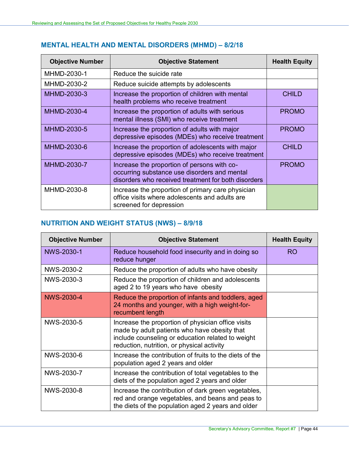## <span id="page-45-0"></span>**MENTAL HEALTH AND MENTAL DISORDERS (MHMD) – 8/2/18**

| <b>Objective Number</b> | <b>Objective Statement</b>                                                                                                                         | <b>Health Equity</b> |
|-------------------------|----------------------------------------------------------------------------------------------------------------------------------------------------|----------------------|
| MHMD-2030-1             | Reduce the suicide rate                                                                                                                            |                      |
| MHMD-2030-2             | Reduce suicide attempts by adolescents                                                                                                             |                      |
| MHMD-2030-3             | Increase the proportion of children with mental<br>health problems who receive treatment                                                           | <b>CHILD</b>         |
| MHMD-2030-4             | Increase the proportion of adults with serious<br>mental illness (SMI) who receive treatment                                                       | <b>PROMO</b>         |
| MHMD-2030-5             | Increase the proportion of adults with major<br>depressive episodes (MDEs) who receive treatment                                                   | <b>PROMO</b>         |
| MHMD-2030-6             | Increase the proportion of adolescents with major<br>depressive episodes (MDEs) who receive treatment                                              | <b>CHILD</b>         |
| MHMD-2030-7             | Increase the proportion of persons with co-<br>occurring substance use disorders and mental<br>disorders who received treatment for both disorders | <b>PROMO</b>         |
| MHMD-2030-8             | Increase the proportion of primary care physician<br>office visits where adolescents and adults are<br>screened for depression                     |                      |

# <span id="page-45-1"></span>**NUTRITION AND WEIGHT STATUS (NWS) – 8/9/18**

| <b>Objective Number</b> | <b>Objective Statement</b>                                                                                                                                                                            | <b>Health Equity</b> |
|-------------------------|-------------------------------------------------------------------------------------------------------------------------------------------------------------------------------------------------------|----------------------|
| NWS-2030-1              | Reduce household food insecurity and in doing so<br>reduce hunger                                                                                                                                     | <b>RO</b>            |
| NWS-2030-2              | Reduce the proportion of adults who have obesity                                                                                                                                                      |                      |
| NWS-2030-3              | Reduce the proportion of children and adolescents<br>aged 2 to 19 years who have obesity                                                                                                              |                      |
| <b>NWS-2030-4</b>       | Reduce the proportion of infants and toddlers, aged<br>24 months and younger, with a high weight-for-<br>recumbent length                                                                             |                      |
| NWS-2030-5              | Increase the proportion of physician office visits<br>made by adult patients who have obesity that<br>include counseling or education related to weight<br>reduction, nutrition, or physical activity |                      |
| NWS-2030-6              | Increase the contribution of fruits to the diets of the<br>population aged 2 years and older                                                                                                          |                      |
| NWS-2030-7              | Increase the contribution of total vegetables to the<br>diets of the population aged 2 years and older                                                                                                |                      |
| NWS-2030-8              | Increase the contribution of dark green vegetables,<br>red and orange vegetables, and beans and peas to<br>the diets of the population aged 2 years and older                                         |                      |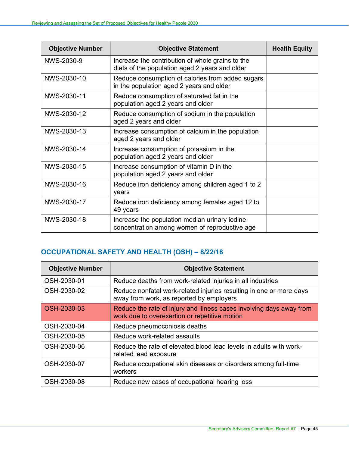| <b>Objective Number</b> | <b>Objective Statement</b>                                                                         | <b>Health Equity</b> |
|-------------------------|----------------------------------------------------------------------------------------------------|----------------------|
| NWS-2030-9              | Increase the contribution of whole grains to the<br>diets of the population aged 2 years and older |                      |
| NWS-2030-10             | Reduce consumption of calories from added sugars<br>in the population aged 2 years and older       |                      |
| NWS-2030-11             | Reduce consumption of saturated fat in the<br>population aged 2 years and older                    |                      |
| NWS-2030-12             | Reduce consumption of sodium in the population<br>aged 2 years and older                           |                      |
| NWS-2030-13             | Increase consumption of calcium in the population<br>aged 2 years and older                        |                      |
| NWS-2030-14             | Increase consumption of potassium in the<br>population aged 2 years and older                      |                      |
| NWS-2030-15             | Increase consumption of vitamin D in the<br>population aged 2 years and older                      |                      |
| NWS-2030-16             | Reduce iron deficiency among children aged 1 to 2<br>years                                         |                      |
| NWS-2030-17             | Reduce iron deficiency among females aged 12 to<br>49 years                                        |                      |
| NWS-2030-18             | Increase the population median urinary iodine<br>concentration among women of reproductive age     |                      |

# <span id="page-46-0"></span>**OCCUPATIONAL SAFETY AND HEALTH (OSH) – 8/22/18**

| <b>Objective Number</b> | <b>Objective Statement</b>                                                                                            |
|-------------------------|-----------------------------------------------------------------------------------------------------------------------|
| OSH-2030-01             | Reduce deaths from work-related injuries in all industries                                                            |
| OSH-2030-02             | Reduce nonfatal work-related injuries resulting in one or more days<br>away from work, as reported by employers       |
| OSH-2030-03             | Reduce the rate of injury and illness cases involving days away from<br>work due to overexertion or repetitive motion |
| OSH-2030-04             | Reduce pneumoconiosis deaths                                                                                          |
| OSH-2030-05             | Reduce work-related assaults                                                                                          |
| OSH-2030-06             | Reduce the rate of elevated blood lead levels in adults with work-<br>related lead exposure                           |
| OSH-2030-07             | Reduce occupational skin diseases or disorders among full-time<br>workers                                             |
| OSH-2030-08             | Reduce new cases of occupational hearing loss                                                                         |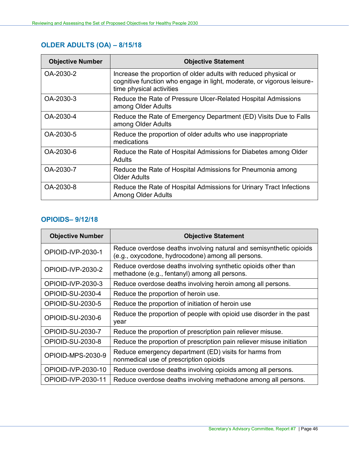# <span id="page-47-0"></span>**OLDER ADULTS (OA) – 8/15/18**

| <b>Objective Number</b> | <b>Objective Statement</b>                                                                                                                                             |
|-------------------------|------------------------------------------------------------------------------------------------------------------------------------------------------------------------|
| OA-2030-2               | Increase the proportion of older adults with reduced physical or<br>cognitive function who engage in light, moderate, or vigorous leisure-<br>time physical activities |
| OA-2030-3               | Reduce the Rate of Pressure Ulcer-Related Hospital Admissions<br>among Older Adults                                                                                    |
| OA-2030-4               | Reduce the Rate of Emergency Department (ED) Visits Due to Falls<br>among Older Adults                                                                                 |
| OA-2030-5               | Reduce the proportion of older adults who use inappropriate<br>medications                                                                                             |
| OA-2030-6               | Reduce the Rate of Hospital Admissions for Diabetes among Older<br>Adults                                                                                              |
| OA-2030-7               | Reduce the Rate of Hospital Admissions for Pneumonia among<br><b>Older Adults</b>                                                                                      |
| OA-2030-8               | Reduce the Rate of Hospital Admissions for Urinary Tract Infections<br><b>Among Older Adults</b>                                                                       |

#### <span id="page-47-1"></span>**OPIOIDS– 9/12/18**

| <b>Objective Number</b> | <b>Objective Statement</b>                                                                                              |  |
|-------------------------|-------------------------------------------------------------------------------------------------------------------------|--|
| OPIOID-IVP-2030-1       | Reduce overdose deaths involving natural and semisynthetic opioids<br>(e.g., oxycodone, hydrocodone) among all persons. |  |
| OPIOID-IVP-2030-2       | Reduce overdose deaths involving synthetic opioids other than<br>methadone (e.g., fentanyl) among all persons.          |  |
| OPIOID-IVP-2030-3       | Reduce overdose deaths involving heroin among all persons.                                                              |  |
| OPIOID-SU-2030-4        | Reduce the proportion of heroin use.                                                                                    |  |
| <b>OPIOID-SU-2030-5</b> | Reduce the proportion of initiation of heroin use                                                                       |  |
| OPIOID-SU-2030-6        | Reduce the proportion of people with opioid use disorder in the past<br>year                                            |  |
| OPIOID-SU-2030-7        | Reduce the proportion of prescription pain reliever misuse.                                                             |  |
| OPIOID-SU-2030-8        | Reduce the proportion of prescription pain reliever misuse initiation                                                   |  |
| OPIOID-MPS-2030-9       | Reduce emergency department (ED) visits for harms from<br>nonmedical use of prescription opioids                        |  |
| OPIOID-IVP-2030-10      | Reduce overdose deaths involving opioids among all persons.                                                             |  |
| OPIOID-IVP-2030-11      | Reduce overdose deaths involving methadone among all persons.                                                           |  |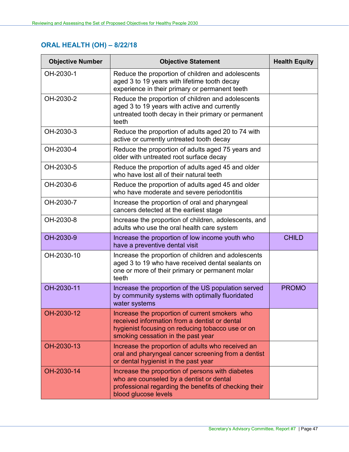# <span id="page-48-0"></span>**ORAL HEALTH (OH) – 8/22/18**

| <b>Objective Number</b> | <b>Objective Statement</b>                                                                                                                                                                | <b>Health Equity</b> |
|-------------------------|-------------------------------------------------------------------------------------------------------------------------------------------------------------------------------------------|----------------------|
| OH-2030-1               | Reduce the proportion of children and adolescents<br>aged 3 to 19 years with lifetime tooth decay<br>experience in their primary or permanent teeth                                       |                      |
| OH-2030-2               | Reduce the proportion of children and adolescents<br>aged 3 to 19 years with active and currently<br>untreated tooth decay in their primary or permanent<br>teeth                         |                      |
| OH-2030-3               | Reduce the proportion of adults aged 20 to 74 with<br>active or currently untreated tooth decay                                                                                           |                      |
| OH-2030-4               | Reduce the proportion of adults aged 75 years and<br>older with untreated root surface decay                                                                                              |                      |
| OH-2030-5               | Reduce the proportion of adults aged 45 and older<br>who have lost all of their natural teeth                                                                                             |                      |
| OH-2030-6               | Reduce the proportion of adults aged 45 and older<br>who have moderate and severe periodontitis                                                                                           |                      |
| OH-2030-7               | Increase the proportion of oral and pharyngeal<br>cancers detected at the earliest stage                                                                                                  |                      |
| OH-2030-8               | Increase the proportion of children, adolescents, and<br>adults who use the oral health care system                                                                                       |                      |
| OH-2030-9               | Increase the proportion of low income youth who<br>have a preventive dental visit                                                                                                         | <b>CHILD</b>         |
| OH-2030-10              | Increase the proportion of children and adolescents<br>aged 3 to 19 who have received dental sealants on<br>one or more of their primary or permanent molar<br>teeth                      |                      |
| OH-2030-11              | Increase the proportion of the US population served<br>by community systems with optimally fluoridated<br>water systems                                                                   | <b>PROMO</b>         |
| OH-2030-12              | Increase the proportion of current smokers who<br>received information from a dentist or dental<br>hygienist focusing on reducing tobacco use or on<br>smoking cessation in the past year |                      |
| OH-2030-13              | Increase the proportion of adults who received an<br>oral and pharyngeal cancer screening from a dentist<br>or dental hygienist in the past year                                          |                      |
| OH-2030-14              | Increase the proportion of persons with diabetes<br>who are counseled by a dentist or dental<br>professional regarding the benefits of checking their<br>blood glucose levels             |                      |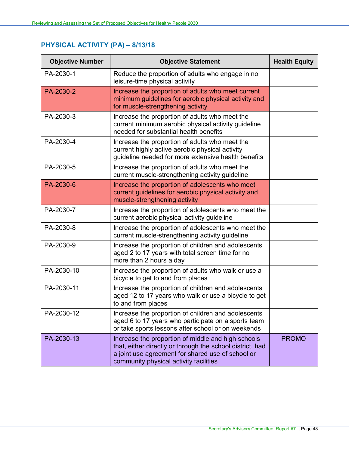# <span id="page-49-0"></span>**PHYSICAL ACTIVITY (PA) – 8/13/18**

| <b>Objective Number</b> | <b>Objective Statement</b>                                                                                                                                                                                     | <b>Health Equity</b> |
|-------------------------|----------------------------------------------------------------------------------------------------------------------------------------------------------------------------------------------------------------|----------------------|
| PA-2030-1               | Reduce the proportion of adults who engage in no<br>leisure-time physical activity                                                                                                                             |                      |
| PA-2030-2               | Increase the proportion of adults who meet current<br>minimum guidelines for aerobic physical activity and<br>for muscle-strengthening activity                                                                |                      |
| PA-2030-3               | Increase the proportion of adults who meet the<br>current minimum aerobic physical activity guideline<br>needed for substantial health benefits                                                                |                      |
| PA-2030-4               | Increase the proportion of adults who meet the<br>current highly active aerobic physical activity<br>guideline needed for more extensive health benefits                                                       |                      |
| PA-2030-5               | Increase the proportion of adults who meet the<br>current muscle-strengthening activity guideline                                                                                                              |                      |
| PA-2030-6               | Increase the proportion of adolescents who meet<br>current guidelines for aerobic physical activity and<br>muscle-strengthening activity                                                                       |                      |
| PA-2030-7               | Increase the proportion of adolescents who meet the<br>current aerobic physical activity guideline                                                                                                             |                      |
| PA-2030-8               | Increase the proportion of adolescents who meet the<br>current muscle-strengthening activity guideline                                                                                                         |                      |
| PA-2030-9               | Increase the proportion of children and adolescents<br>aged 2 to 17 years with total screen time for no<br>more than 2 hours a day                                                                             |                      |
| PA-2030-10              | Increase the proportion of adults who walk or use a<br>bicycle to get to and from places                                                                                                                       |                      |
| PA-2030-11              | Increase the proportion of children and adolescents<br>aged 12 to 17 years who walk or use a bicycle to get<br>to and from places                                                                              |                      |
| PA-2030-12              | Increase the proportion of children and adolescents<br>aged 6 to 17 years who participate on a sports team<br>or take sports lessons after school or on weekends                                               |                      |
| PA-2030-13              | Increase the proportion of middle and high schools<br>that, either directly or through the school district, had<br>a joint use agreement for shared use of school or<br>community physical activity facilities | <b>PROMO</b>         |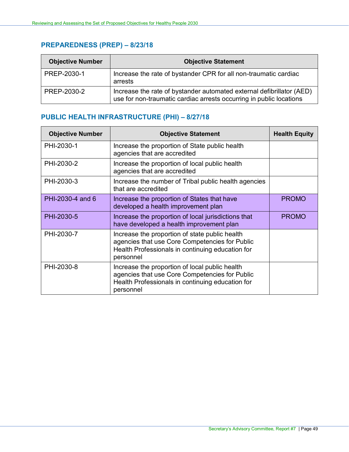## <span id="page-50-0"></span>**PREPAREDNESS (PREP) – 8/23/18**

| <b>Objective Number</b> | <b>Objective Statement</b>                                                                                                                   |
|-------------------------|----------------------------------------------------------------------------------------------------------------------------------------------|
| PREP-2030-1             | Increase the rate of bystander CPR for all non-traumatic cardiac<br>arrests                                                                  |
| PREP-2030-2             | Increase the rate of bystander automated external defibrillator (AED)<br>use for non-traumatic cardiac arrests occurring in public locations |

### <span id="page-50-1"></span>**PUBLIC HEALTH INFRASTRUCTURE (PHI) – 8/27/18**

| <b>Objective Number</b> | <b>Objective Statement</b>                                                                                                                                        | <b>Health Equity</b> |
|-------------------------|-------------------------------------------------------------------------------------------------------------------------------------------------------------------|----------------------|
| PHI-2030-1              | Increase the proportion of State public health<br>agencies that are accredited                                                                                    |                      |
| PHI-2030-2              | Increase the proportion of local public health<br>agencies that are accredited                                                                                    |                      |
| PHI-2030-3              | Increase the number of Tribal public health agencies<br>that are accredited                                                                                       |                      |
| PHI-2030-4 and 6        | Increase the proportion of States that have<br>developed a health improvement plan                                                                                | <b>PROMO</b>         |
| PHI-2030-5              | Increase the proportion of local jurisdictions that<br>have developed a health improvement plan                                                                   | <b>PROMO</b>         |
| PHI-2030-7              | Increase the proportion of state public health<br>agencies that use Core Competencies for Public<br>Health Professionals in continuing education for<br>personnel |                      |
| PHI-2030-8              | Increase the proportion of local public health<br>agencies that use Core Competencies for Public<br>Health Professionals in continuing education for<br>personnel |                      |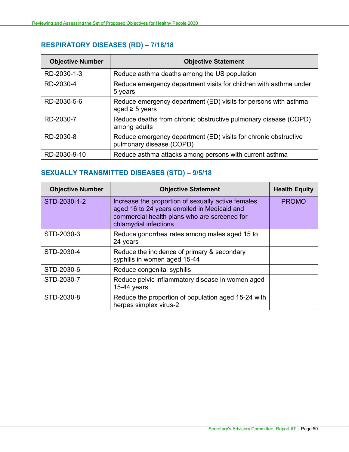# <span id="page-51-0"></span>**RESPIRATORY DISEASES (RD) – 7/18/18**

| <b>Objective Number</b> | <b>Objective Statement</b>                                                                  |
|-------------------------|---------------------------------------------------------------------------------------------|
| RD-2030-1-3             | Reduce asthma deaths among the US population                                                |
| RD-2030-4               | Reduce emergency department visits for children with asthma under<br>5 years                |
| RD-2030-5-6             | Reduce emergency department (ED) visits for persons with asthma<br>aged $\geq$ 5 years      |
| RD-2030-7               | Reduce deaths from chronic obstructive pulmonary disease (COPD)<br>among adults             |
| RD-2030-8               | Reduce emergency department (ED) visits for chronic obstructive<br>pulmonary disease (COPD) |
| RD-2030-9-10            | Reduce asthma attacks among persons with current asthma                                     |

## <span id="page-51-1"></span>**SEXUALLY TRANSMITTED DISEASES (STD) – 9/5/18**

| <b>Objective Number</b> | <b>Objective Statement</b>                                                                                                                                                  | <b>Health Equity</b> |
|-------------------------|-----------------------------------------------------------------------------------------------------------------------------------------------------------------------------|----------------------|
| STD-2030-1-2            | Increase the proportion of sexually active females<br>aged 16 to 24 years enrolled in Medicaid and<br>commercial health plans who are screened for<br>chlamydial infections | <b>PROMO</b>         |
| STD-2030-3              | Reduce gonorrhea rates among males aged 15 to<br>24 years                                                                                                                   |                      |
| STD-2030-4              | Reduce the incidence of primary & secondary<br>syphilis in women aged 15-44                                                                                                 |                      |
| STD-2030-6              | Reduce congenital syphilis                                                                                                                                                  |                      |
| STD-2030-7              | Reduce pelvic inflammatory disease in women aged<br>$15-44$ years                                                                                                           |                      |
| STD-2030-8              | Reduce the proportion of population aged 15-24 with<br>herpes simplex virus-2                                                                                               |                      |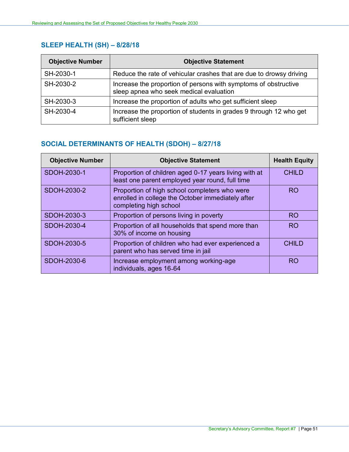## <span id="page-52-0"></span>**SLEEP HEALTH (SH) – 8/28/18**

| <b>Objective Number</b> | <b>Objective Statement</b>                                                                                 |
|-------------------------|------------------------------------------------------------------------------------------------------------|
| SH-2030-1               | Reduce the rate of vehicular crashes that are due to drowsy driving                                        |
| SH-2030-2               | Increase the proportion of persons with symptoms of obstructive<br>sleep apnea who seek medical evaluation |
| SH-2030-3               | Increase the proportion of adults who get sufficient sleep                                                 |
| SH-2030-4               | Increase the proportion of students in grades 9 through 12 who get<br>sufficient sleep                     |

## <span id="page-52-1"></span>**SOCIAL DETERMINANTS OF HEALTH (SDOH) – 8/27/18**

| <b>Objective Number</b> | <b>Objective Statement</b>                                                                                                   | <b>Health Equity</b> |
|-------------------------|------------------------------------------------------------------------------------------------------------------------------|----------------------|
| SDOH-2030-1             | Proportion of children aged 0-17 years living with at<br>least one parent employed year round, full time                     | <b>CHILD</b>         |
| SDOH-2030-2             | Proportion of high school completers who were<br>enrolled in college the October immediately after<br>completing high school | <b>RO</b>            |
| SDOH-2030-3             | Proportion of persons living in poverty                                                                                      | <b>RO</b>            |
| SDOH-2030-4             | Proportion of all households that spend more than<br>30% of income on housing                                                | <b>RO</b>            |
| SDOH-2030-5             | Proportion of children who had ever experienced a<br>parent who has served time in jail                                      | <b>CHILD</b>         |
| SDOH-2030-6             | Increase employment among working-age<br>individuals, ages 16-64                                                             | <b>RO</b>            |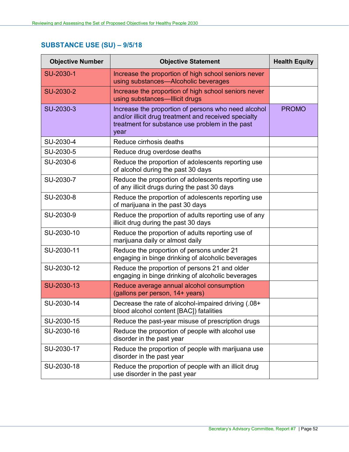# <span id="page-53-0"></span>**SUBSTANCE USE (SU) – 9/5/18**

| <b>Objective Number</b> | <b>Objective Statement</b>                                                                                                                                             | <b>Health Equity</b> |
|-------------------------|------------------------------------------------------------------------------------------------------------------------------------------------------------------------|----------------------|
| SU-2030-1               | Increase the proportion of high school seniors never<br>using substances-Alcoholic beverages                                                                           |                      |
| SU-2030-2               | Increase the proportion of high school seniors never<br>using substances—Illicit drugs                                                                                 |                      |
| SU-2030-3               | Increase the proportion of persons who need alcohol<br>and/or illicit drug treatment and received specialty<br>treatment for substance use problem in the past<br>year | <b>PROMO</b>         |
| SU-2030-4               | Reduce cirrhosis deaths                                                                                                                                                |                      |
| SU-2030-5               | Reduce drug overdose deaths                                                                                                                                            |                      |
| SU-2030-6               | Reduce the proportion of adolescents reporting use<br>of alcohol during the past 30 days                                                                               |                      |
| SU-2030-7               | Reduce the proportion of adolescents reporting use<br>of any illicit drugs during the past 30 days                                                                     |                      |
| SU-2030-8               | Reduce the proportion of adolescents reporting use<br>of marijuana in the past 30 days                                                                                 |                      |
| SU-2030-9               | Reduce the proportion of adults reporting use of any<br>illicit drug during the past 30 days                                                                           |                      |
| SU-2030-10              | Reduce the proportion of adults reporting use of<br>marijuana daily or almost daily                                                                                    |                      |
| SU-2030-11              | Reduce the proportion of persons under 21<br>engaging in binge drinking of alcoholic beverages                                                                         |                      |
| SU-2030-12              | Reduce the proportion of persons 21 and older<br>engaging in binge drinking of alcoholic beverages                                                                     |                      |
| SU-2030-13              | Reduce average annual alcohol consumption<br>(gallons per person, 14+ years)                                                                                           |                      |
| SU-2030-14              | Decrease the rate of alcohol-impaired driving (.08+<br>blood alcohol content [BAC]) fatalities                                                                         |                      |
| SU-2030-15              | Reduce the past-year misuse of prescription drugs                                                                                                                      |                      |
| SU-2030-16              | Reduce the proportion of people with alcohol use<br>disorder in the past year                                                                                          |                      |
| SU-2030-17              | Reduce the proportion of people with marijuana use<br>disorder in the past year                                                                                        |                      |
| SU-2030-18              | Reduce the proportion of people with an illicit drug<br>use disorder in the past year                                                                                  |                      |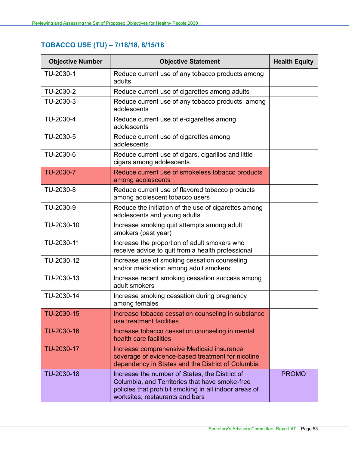# <span id="page-54-0"></span>**TOBACCO USE (TU) – 7/18/18, 8/15/18**

| <b>Objective Number</b> | <b>Objective Statement</b>                                                                                                                                                                   | <b>Health Equity</b> |
|-------------------------|----------------------------------------------------------------------------------------------------------------------------------------------------------------------------------------------|----------------------|
| TU-2030-1               | Reduce current use of any tobacco products among<br>adults                                                                                                                                   |                      |
| TU-2030-2               | Reduce current use of cigarettes among adults                                                                                                                                                |                      |
| TU-2030-3               | Reduce current use of any tobacco products among<br>adolescents                                                                                                                              |                      |
| TU-2030-4               | Reduce current use of e-cigarettes among<br>adolescents                                                                                                                                      |                      |
| TU-2030-5               | Reduce current use of cigarettes among<br>adolescents                                                                                                                                        |                      |
| TU-2030-6               | Reduce current use of cigars, cigarillos and little<br>cigars among adolescents                                                                                                              |                      |
| TU-2030-7               | Reduce current use of smokeless tobacco products<br>among adolescents                                                                                                                        |                      |
| TU-2030-8               | Reduce current use of flavored tobacco products<br>among adolescent tobacco users                                                                                                            |                      |
| TU-2030-9               | Reduce the initiation of the use of cigarettes among<br>adolescents and young adults                                                                                                         |                      |
| TU-2030-10              | Increase smoking quit attempts among adult<br>smokers (past year)                                                                                                                            |                      |
| TU-2030-11              | Increase the proportion of adult smokers who<br>receive advice to quit from a health professional                                                                                            |                      |
| TU-2030-12              | Increase use of smoking cessation counseling<br>and/or medication among adult smokers                                                                                                        |                      |
| TU-2030-13              | Increase recent smoking cessation success among<br>adult smokers                                                                                                                             |                      |
| TU-2030-14              | Increase smoking cessation during pregnancy<br>among females                                                                                                                                 |                      |
| TU-2030-15              | Increase tobacco cessation counseling in substance<br>use treatment facilities                                                                                                               |                      |
| TU-2030-16              | Increase tobacco cessation counseling in mental<br>health care facilities                                                                                                                    |                      |
| TU-2030-17              | Increase comprehensive Medicaid insurance<br>coverage of evidence-based treatment for nicotine<br>dependency in States and the District of Columbia                                          |                      |
| TU-2030-18              | Increase the number of States, the District of<br>Columbia, and Territories that have smoke-free<br>policies that prohibit smoking in all indoor areas of<br>worksites, restaurants and bars | <b>PROMO</b>         |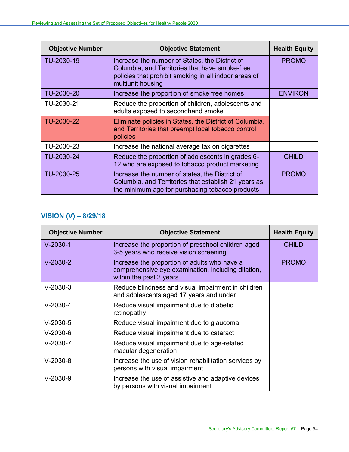| <b>Objective Number</b> | <b>Objective Statement</b>                                                                                                                                                     | <b>Health Equity</b> |
|-------------------------|--------------------------------------------------------------------------------------------------------------------------------------------------------------------------------|----------------------|
| TU-2030-19              | Increase the number of States, the District of<br>Columbia, and Territories that have smoke-free<br>policies that prohibit smoking in all indoor areas of<br>multiunit housing | <b>PROMO</b>         |
| TU-2030-20              | Increase the proportion of smoke free homes                                                                                                                                    | <b>ENVIRON</b>       |
| TU-2030-21              | Reduce the proportion of children, adolescents and<br>adults exposed to secondhand smoke                                                                                       |                      |
| TU-2030-22              | Eliminate policies in States, the District of Columbia,<br>and Territories that preempt local tobacco control<br>policies                                                      |                      |
| TU-2030-23              | Increase the national average tax on cigarettes                                                                                                                                |                      |
| TU-2030-24              | Reduce the proportion of adolescents in grades 6-<br>12 who are exposed to tobacco product marketing                                                                           | <b>CHILD</b>         |
| TU-2030-25              | Increase the number of states, the District of<br>Columbia, and Territories that establish 21 years as<br>the minimum age for purchasing tobacco products                      | <b>PROMO</b>         |

# <span id="page-55-0"></span>**VISION (V) – 8/29/18**

| <b>Objective Number</b> | <b>Objective Statement</b>                                                                                                    | <b>Health Equity</b> |
|-------------------------|-------------------------------------------------------------------------------------------------------------------------------|----------------------|
| $V-2030-1$              | Increase the proportion of preschool children aged<br>3-5 years who receive vision screening                                  | <b>CHILD</b>         |
| $V-2030-2$              | Increase the proportion of adults who have a<br>comprehensive eye examination, including dilation,<br>within the past 2 years | <b>PROMO</b>         |
| $V-2030-3$              | Reduce blindness and visual impairment in children<br>and adolescents aged 17 years and under                                 |                      |
| $V-2030-4$              | Reduce visual impairment due to diabetic<br>retinopathy                                                                       |                      |
| $V-2030-5$              | Reduce visual impairment due to glaucoma                                                                                      |                      |
| $V-2030-6$              | Reduce visual impairment due to cataract                                                                                      |                      |
| $V-2030-7$              | Reduce visual impairment due to age-related<br>macular degeneration                                                           |                      |
| $V-2030-8$              | Increase the use of vision rehabilitation services by<br>persons with visual impairment                                       |                      |
| $V-2030-9$              | Increase the use of assistive and adaptive devices<br>by persons with visual impairment                                       |                      |